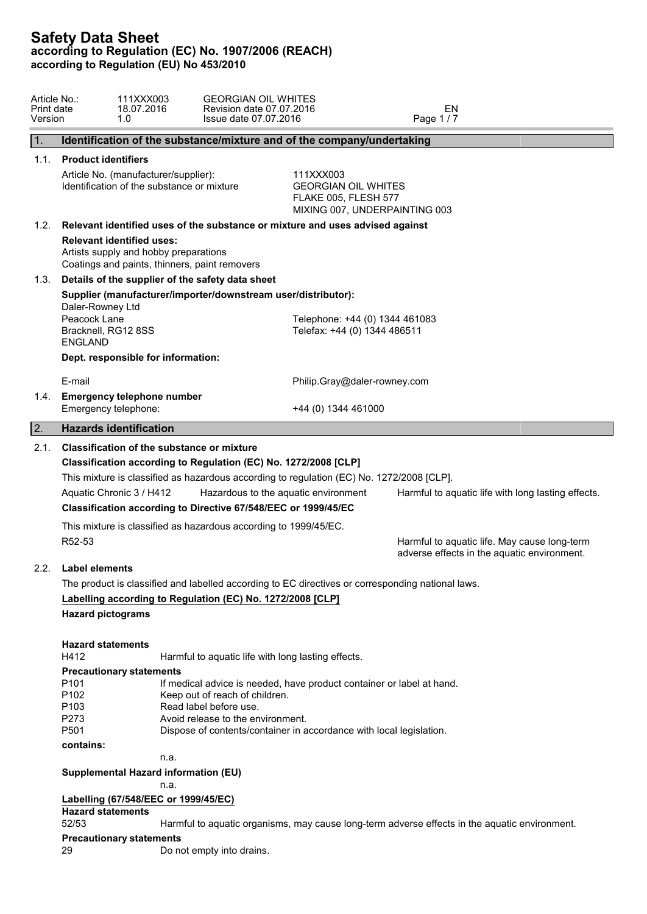| 1.<br>1.2.<br>1.3.<br>E-mail<br>1.4.<br> 2.<br>2.1.<br><b>Classification of the substance or mixture</b><br>Classification according to Regulation (EC) No. 1272/2008 [CLP]<br>2.2. | Identification of the substance/mixture and of the company/undertaking<br>1.1. Product identifiers<br>Article No. (manufacturer/supplier):<br>Identification of the substance or mixture<br>Relevant identified uses of the substance or mixture and uses advised against<br><b>Relevant identified uses:</b><br>Artists supply and hobby preparations<br>Coatings and paints, thinners, paint removers<br>Details of the supplier of the safety data sheet<br>Supplier (manufacturer/importer/downstream user/distributor):<br>Daler-Rowney Ltd<br>Peacock Lane<br>Bracknell, RG12 8SS<br><b>ENGLAND</b><br>Dept. responsible for information:<br><b>Emergency telephone number</b><br>Emergency telephone:<br><b>Hazards identification</b> | 111XXX003<br><b>GEORGIAN OIL WHITES</b><br><b>FLAKE 005, FLESH 577</b><br>MIXING 007, UNDERPAINTING 003<br>Telephone: +44 (0) 1344 461083<br>Telefax: +44 (0) 1344 486511<br>Philip.Gray@daler-rowney.com<br>+44 (0) 1344 461000 |  |  |  |
|-------------------------------------------------------------------------------------------------------------------------------------------------------------------------------------|-----------------------------------------------------------------------------------------------------------------------------------------------------------------------------------------------------------------------------------------------------------------------------------------------------------------------------------------------------------------------------------------------------------------------------------------------------------------------------------------------------------------------------------------------------------------------------------------------------------------------------------------------------------------------------------------------------------------------------------------------|----------------------------------------------------------------------------------------------------------------------------------------------------------------------------------------------------------------------------------|--|--|--|
|                                                                                                                                                                                     |                                                                                                                                                                                                                                                                                                                                                                                                                                                                                                                                                                                                                                                                                                                                               |                                                                                                                                                                                                                                  |  |  |  |
|                                                                                                                                                                                     |                                                                                                                                                                                                                                                                                                                                                                                                                                                                                                                                                                                                                                                                                                                                               |                                                                                                                                                                                                                                  |  |  |  |
|                                                                                                                                                                                     |                                                                                                                                                                                                                                                                                                                                                                                                                                                                                                                                                                                                                                                                                                                                               |                                                                                                                                                                                                                                  |  |  |  |
|                                                                                                                                                                                     |                                                                                                                                                                                                                                                                                                                                                                                                                                                                                                                                                                                                                                                                                                                                               |                                                                                                                                                                                                                                  |  |  |  |
|                                                                                                                                                                                     |                                                                                                                                                                                                                                                                                                                                                                                                                                                                                                                                                                                                                                                                                                                                               |                                                                                                                                                                                                                                  |  |  |  |
|                                                                                                                                                                                     |                                                                                                                                                                                                                                                                                                                                                                                                                                                                                                                                                                                                                                                                                                                                               |                                                                                                                                                                                                                                  |  |  |  |
|                                                                                                                                                                                     |                                                                                                                                                                                                                                                                                                                                                                                                                                                                                                                                                                                                                                                                                                                                               |                                                                                                                                                                                                                                  |  |  |  |
|                                                                                                                                                                                     |                                                                                                                                                                                                                                                                                                                                                                                                                                                                                                                                                                                                                                                                                                                                               |                                                                                                                                                                                                                                  |  |  |  |
|                                                                                                                                                                                     | This mixture is classified as hazardous according to regulation (EC) No. 1272/2008 [CLP].<br>Aquatic Chronic 3 / H412<br>Classification according to Directive 67/548/EEC or 1999/45/EC<br>This mixture is classified as hazardous according to 1999/45/EC.<br>R52-53                                                                                                                                                                                                                                                                                                                                                                                                                                                                         | Hazardous to the aquatic environment<br>Harmful to aquatic life with long lasting effects.<br>Harmful to aquatic life. May cause long-term<br>adverse effects in the aquatic environment.                                        |  |  |  |
|                                                                                                                                                                                     | <b>Label elements</b>                                                                                                                                                                                                                                                                                                                                                                                                                                                                                                                                                                                                                                                                                                                         |                                                                                                                                                                                                                                  |  |  |  |
|                                                                                                                                                                                     | The product is classified and labelled according to EC directives or corresponding national laws.<br>Labelling according to Regulation (EC) No. 1272/2008 [CLP]                                                                                                                                                                                                                                                                                                                                                                                                                                                                                                                                                                               |                                                                                                                                                                                                                                  |  |  |  |
|                                                                                                                                                                                     | <b>Hazard pictograms</b>                                                                                                                                                                                                                                                                                                                                                                                                                                                                                                                                                                                                                                                                                                                      |                                                                                                                                                                                                                                  |  |  |  |
| H412<br>P <sub>101</sub><br>P102<br>P <sub>103</sub><br>P273<br>P501                                                                                                                | <b>Hazard statements</b><br>Harmful to aquatic life with long lasting effects.<br><b>Precautionary statements</b><br>Keep out of reach of children.<br>Read label before use.<br>Avoid release to the environment.                                                                                                                                                                                                                                                                                                                                                                                                                                                                                                                            | If medical advice is needed, have product container or label at hand.                                                                                                                                                            |  |  |  |
|                                                                                                                                                                                     | Dispose of contents/container in accordance with local legislation.<br>contains:                                                                                                                                                                                                                                                                                                                                                                                                                                                                                                                                                                                                                                                              |                                                                                                                                                                                                                                  |  |  |  |
|                                                                                                                                                                                     | n.a.                                                                                                                                                                                                                                                                                                                                                                                                                                                                                                                                                                                                                                                                                                                                          |                                                                                                                                                                                                                                  |  |  |  |
|                                                                                                                                                                                     | Supplemental Hazard information (EU)<br>n.a.                                                                                                                                                                                                                                                                                                                                                                                                                                                                                                                                                                                                                                                                                                  |                                                                                                                                                                                                                                  |  |  |  |
|                                                                                                                                                                                     | Labelling (67/548/EEC or 1999/45/EC)                                                                                                                                                                                                                                                                                                                                                                                                                                                                                                                                                                                                                                                                                                          |                                                                                                                                                                                                                                  |  |  |  |
|                                                                                                                                                                                     | <b>Hazard statements</b>                                                                                                                                                                                                                                                                                                                                                                                                                                                                                                                                                                                                                                                                                                                      |                                                                                                                                                                                                                                  |  |  |  |
| 52/53                                                                                                                                                                               |                                                                                                                                                                                                                                                                                                                                                                                                                                                                                                                                                                                                                                                                                                                                               | Harmful to aquatic organisms, may cause long-term adverse effects in the aquatic environment.                                                                                                                                    |  |  |  |
| 29                                                                                                                                                                                  | <b>Precautionary statements</b>                                                                                                                                                                                                                                                                                                                                                                                                                                                                                                                                                                                                                                                                                                               |                                                                                                                                                                                                                                  |  |  |  |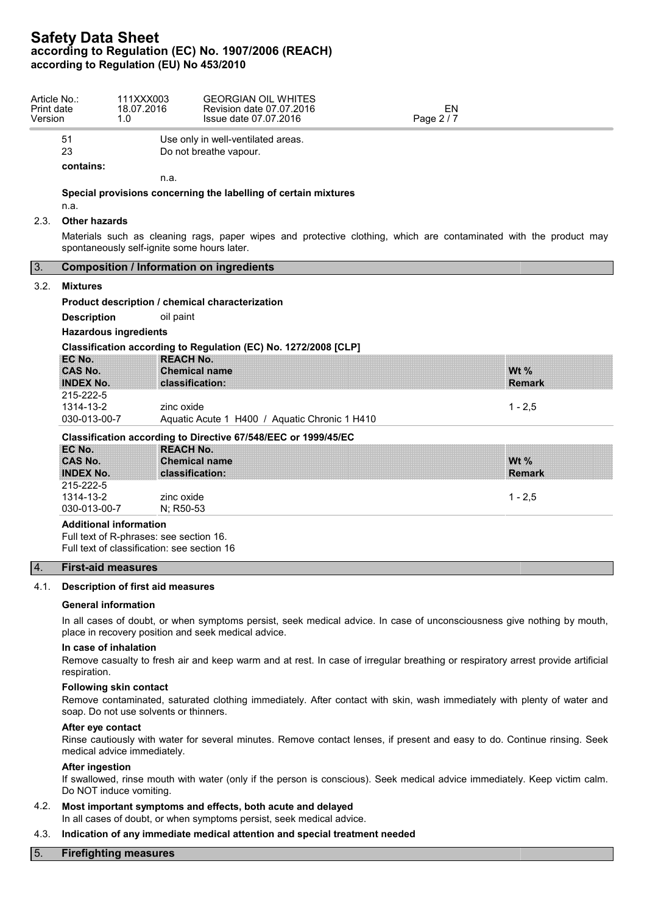| Article No.:<br>Print date<br>Version |                                                 | 111XXX003<br>18.07.2016<br>1.0              | <b>GEORGIAN OIL WHITES</b><br>Revision date 07.07.2016<br>Issue date 07.07.2016 | <b>EN</b><br>Page 2/7                                                                                             |  |  |
|---------------------------------------|-------------------------------------------------|---------------------------------------------|---------------------------------------------------------------------------------|-------------------------------------------------------------------------------------------------------------------|--|--|
|                                       | 51                                              |                                             | Use only in well-ventilated areas.                                              |                                                                                                                   |  |  |
|                                       | 23                                              |                                             | Do not breathe vapour.                                                          |                                                                                                                   |  |  |
|                                       | contains:                                       |                                             |                                                                                 |                                                                                                                   |  |  |
|                                       |                                                 | n.a.                                        |                                                                                 |                                                                                                                   |  |  |
|                                       | n.a.                                            |                                             | Special provisions concerning the labelling of certain mixtures                 |                                                                                                                   |  |  |
| 2.3                                   | <b>Other hazards</b>                            |                                             |                                                                                 |                                                                                                                   |  |  |
|                                       |                                                 | spontaneously self-ignite some hours later. |                                                                                 | Materials such as cleaning rags, paper wipes and protective clothing, which are contaminated with the product may |  |  |
| 3.                                    | <b>Composition / Information on ingredients</b> |                                             |                                                                                 |                                                                                                                   |  |  |
| 3.2.                                  | <b>Mixtures</b>                                 |                                             |                                                                                 |                                                                                                                   |  |  |
|                                       | Product description / chemical characterization |                                             |                                                                                 |                                                                                                                   |  |  |
|                                       | <b>Description</b>                              | oil paint                                   |                                                                                 |                                                                                                                   |  |  |
|                                       | <b>Hazardous ingredients</b>                    |                                             |                                                                                 |                                                                                                                   |  |  |
|                                       |                                                 |                                             | Classification according to Regulation (EC) No. 1272/2008 [CLP]                 |                                                                                                                   |  |  |
|                                       | EC No.                                          | <b>REACH No.</b>                            |                                                                                 |                                                                                                                   |  |  |
|                                       | CAS No.                                         |                                             | <b>Chemical name</b>                                                            | Wt $%$                                                                                                            |  |  |
|                                       | <b>INDEX No.</b>                                |                                             | classification:                                                                 | <b>Remark</b>                                                                                                     |  |  |
|                                       | 215-222-5                                       |                                             |                                                                                 |                                                                                                                   |  |  |
|                                       | 1314-13-2                                       | zinc oxide                                  |                                                                                 | $1 - 2,5$                                                                                                         |  |  |
|                                       | 030-013-00-7                                    |                                             | Aquatic Acute 1 H400 / Aquatic Chronic 1 H410                                   |                                                                                                                   |  |  |
|                                       |                                                 |                                             | Classification according to Directive 67/548/EEC or 1999/45/EC                  |                                                                                                                   |  |  |
|                                       | EC No.                                          | <b>REACH No.</b>                            |                                                                                 |                                                                                                                   |  |  |
|                                       | CAS No.                                         |                                             | <b>Chemical name</b>                                                            | Wt $%$                                                                                                            |  |  |
|                                       | <b>INDEX No.</b>                                |                                             | classification:                                                                 | <b>Remark</b>                                                                                                     |  |  |
|                                       | 215-222-5                                       |                                             |                                                                                 |                                                                                                                   |  |  |
|                                       | 1314-13-2                                       | zinc oxide                                  |                                                                                 | $1 - 2,5$                                                                                                         |  |  |
|                                       | 030-013-00-7                                    | N; R50-53                                   |                                                                                 |                                                                                                                   |  |  |

Full text of classification: see section 16

## 4. **First-aid measures**

## 4.1. **Description of first aid measures**

#### **General information**

In all cases of doubt, or when symptoms persist, seek medical advice. In case of unconsciousness give nothing by mouth, place in recovery position and seek medical advice.

## **In case of inhalation**

Remove casualty to fresh air and keep warm and at rest. In case of irregular breathing or respiratory arrest provide artificial respiration.

#### **Following skin contact**

Remove contaminated, saturated clothing immediately. After contact with skin, wash immediately with plenty of water and soap. Do not use solvents or thinners.

#### **After eye contact**

Rinse cautiously with water for several minutes. Remove contact lenses, if present and easy to do. Continue rinsing. Seek medical advice immediately.

## **After ingestion**

If swallowed, rinse mouth with water (only if the person is conscious). Seek medical advice immediately. Keep victim calm. Do NOT induce vomiting.

## 4.2. **Most important symptoms and effects, both acute and delayed** In all cases of doubt, or when symptoms persist, seek medical advice.

# 4.3. **Indication of any immediate medical attention and special treatment needed**

# 5. **Firefighting measures**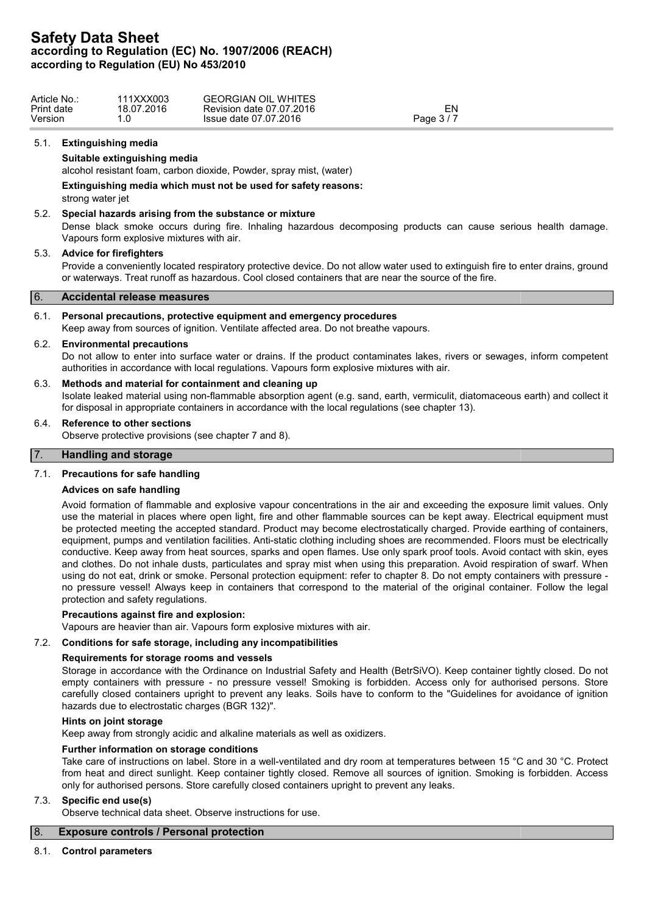| Article No.: | 111XXX003  | <b>GEORGIAN OIL WHITES</b> |            |  |
|--------------|------------|----------------------------|------------|--|
| Print date   | 18.07.2016 | Revision date 07.07.2016   | ΞN         |  |
| Version      |            | Issue date 07.07.2016      | Page $3/7$ |  |
|              |            |                            |            |  |

## 5.1. **Extinguishing media**

# **Suitable extinguishing media**

alcohol resistant foam, carbon dioxide, Powder, spray mist, (water)

**Extinguishing media which must not be used for safety reasons:**

strong water jet

# 5.2. **Special hazards arising from the substance or mixture**

Dense black smoke occurs during fire. Inhaling hazardous decomposing products can cause serious health damage. Vapours form explosive mixtures with air.

# 5.3. **Advice for firefighters**

Provide a conveniently located respiratory protective device. Do not allow water used to extinguish fire to enter drains, ground or waterways. Treat runoff as hazardous. Cool closed containers that are near the source of the fire.

# 6. **Accidental release measures**

# 6.1. **Personal precautions, protective equipment and emergency procedures**

Keep away from sources of ignition. Ventilate affected area. Do not breathe vapours.

# 6.2. **Environmental precautions**

Do not allow to enter into surface water or drains. If the product contaminates lakes, rivers or sewages, inform competent authorities in accordance with local regulations. Vapours form explosive mixtures with air.

# 6.3. **Methods and material for containment and cleaning up**

Isolate leaked material using non-flammable absorption agent (e.g. sand, earth, vermiculit, diatomaceous earth) and collect it for disposal in appropriate containers in accordance with the local regulations (see chapter 13).

# 6.4. **Reference to other sections**

Observe protective provisions (see chapter 7 and 8).

# 7. **Handling and storage**

# 7.1. **Precautions for safe handling**

## **Advices on safe handling**

Avoid formation of flammable and explosive vapour concentrations in the air and exceeding the exposure limit values. Only use the material in places where open light, fire and other flammable sources can be kept away. Electrical equipment must be protected meeting the accepted standard. Product may become electrostatically charged. Provide earthing of containers, equipment, pumps and ventilation facilities. Anti-static clothing including shoes are recommended. Floors must be electrically conductive. Keep away from heat sources, sparks and open flames. Use only spark proof tools. Avoid contact with skin, eyes and clothes. Do not inhale dusts, particulates and spray mist when using this preparation. Avoid respiration of swarf. When using do not eat, drink or smoke. Personal protection equipment: refer to chapter 8. Do not empty containers with pressure no pressure vessel! Always keep in containers that correspond to the material of the original container. Follow the legal protection and safety regulations.

## **Precautions against fire and explosion:**

Vapours are heavier than air. Vapours form explosive mixtures with air.

# 7.2. **Conditions for safe storage, including any incompatibilities**

## **Requirements for storage rooms and vessels**

Storage in accordance with the Ordinance on Industrial Safety and Health (BetrSiVO). Keep container tightly closed. Do not empty containers with pressure - no pressure vessel! Smoking is forbidden. Access only for authorised persons. Store carefully closed containers upright to prevent any leaks. Soils have to conform to the "Guidelines for avoidance of ignition hazards due to electrostatic charges (BGR 132)".

## **Hints on joint storage**

Keep away from strongly acidic and alkaline materials as well as oxidizers.

## **Further information on storage conditions**

Take care of instructions on label. Store in a well-ventilated and dry room at temperatures between 15 °C and 30 °C. Protect from heat and direct sunlight. Keep container tightly closed. Remove all sources of ignition. Smoking is forbidden. Access only for authorised persons. Store carefully closed containers upright to prevent any leaks.

# 7.3. **Specific end use(s)**

Observe technical data sheet. Observe instructions for use.

# 8. **Exposure controls / Personal protection**

# 8.1. **Control parameters**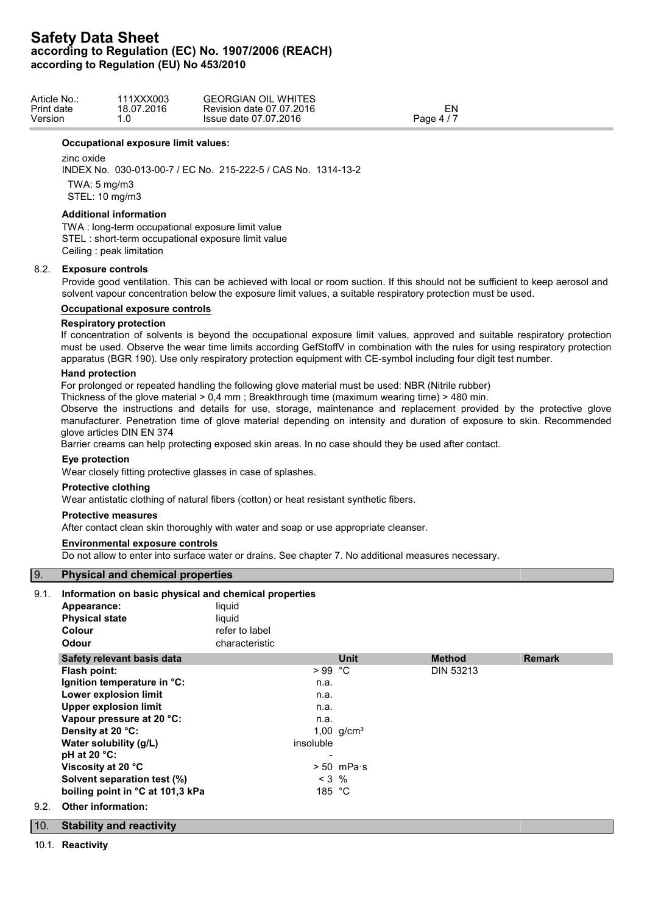| Article No.: | 11XXX003   | <b>GEORGIAN OIL</b><br><b>WHITES</b> |         |  |
|--------------|------------|--------------------------------------|---------|--|
| Print date   | 18.07.2016 | Revision date 07.07.2016             | ΞN      |  |
| Version      | ں.         | Issue date 07.07.2016                | Page 4, |  |

### **Occupational exposure limit values:**

zinc oxide

INDEX No. 030-013-00-7 / EC No. 215-222-5 / CAS No. 1314-13-2 TWA: 5 mg/m3 STEL: 10 mg/m3

# **Additional information**

TWA : long-term occupational exposure limit value STEL : short-term occupational exposure limit value Ceiling : peak limitation

# 8.2. **Exposure controls**

Provide good ventilation. This can be achieved with local or room suction. If this should not be sufficient to keep aerosol and solvent vapour concentration below the exposure limit values, a suitable respiratory protection must be used.

# **Occupational exposure controls**

# **Respiratory protection**

If concentration of solvents is beyond the occupational exposure limit values, approved and suitable respiratory protection must be used. Observe the wear time limits according GefStoffV in combination with the rules for using respiratory protection apparatus (BGR 190). Use only respiratory protection equipment with CE-symbol including four digit test number.

# **Hand protection**

For prolonged or repeated handling the following glove material must be used: NBR (Nitrile rubber)

Thickness of the glove material > 0,4 mm ; Breakthrough time (maximum wearing time) > 480 min.

Observe the instructions and details for use, storage, maintenance and replacement provided by the protective glove manufacturer. Penetration time of glove material depending on intensity and duration of exposure to skin. Recommended glove articles DIN EN 374

Barrier creams can help protecting exposed skin areas. In no case should they be used after contact.

# **Eye protection**

Wear closely fitting protective glasses in case of splashes.

# **Protective clothing**

Wear antistatic clothing of natural fibers (cotton) or heat resistant synthetic fibers.

# **Protective measures**

After contact clean skin thoroughly with water and soap or use appropriate cleanser.

## **Environmental exposure controls**

Do not allow to enter into surface water or drains. See chapter 7. No additional measures necessary.

# 9. **Physical and chemical properties**

# 9.1. **Information on basic physical and chemical properties**

|      | Appearance:                      | liquid                   |                      |                  |               |
|------|----------------------------------|--------------------------|----------------------|------------------|---------------|
|      | <b>Physical state</b>            | liquid                   |                      |                  |               |
|      | <b>Colour</b>                    | refer to label           |                      |                  |               |
|      | <b>Odour</b>                     | characteristic           |                      |                  |               |
|      | Safety relevant basis data       |                          | <b>Unit</b>          | <b>Method</b>    | <b>Remark</b> |
|      | Flash point:                     | $>99$ °C                 |                      | <b>DIN 53213</b> |               |
|      | Ignition temperature in °C:      | n.a.                     |                      |                  |               |
|      | Lower explosion limit            | n.a.                     |                      |                  |               |
|      | <b>Upper explosion limit</b>     | n.a.                     |                      |                  |               |
|      | Vapour pressure at 20 °C:        | n.a.                     |                      |                  |               |
|      | Density at 20 °C:                |                          | 1,00 $g/cm^{3}$      |                  |               |
|      | Water solubility (g/L)           | insoluble                |                      |                  |               |
|      | pH at 20 $°C$ :                  | $\overline{\phantom{a}}$ |                      |                  |               |
|      | Viscosity at 20 °C               |                          | $> 50$ mPa $\cdot$ s |                  |               |
|      | Solvent separation test (%)      |                          | $< 3$ %              |                  |               |
|      | boiling point in °C at 101,3 kPa |                          | 185 °C               |                  |               |
| 9.2. | <b>Other information:</b>        |                          |                      |                  |               |
| 10.  | <b>Stability and reactivity</b>  |                          |                      |                  |               |

10.1. **Reactivity**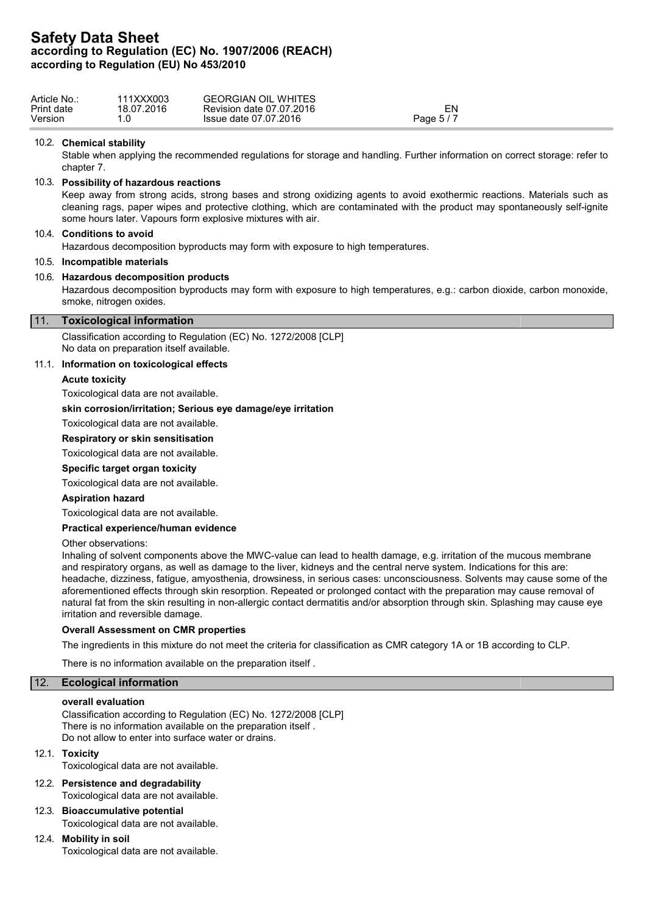| Article No.: | 111XXX003  | <b>GEORGIAN OIL WHITES</b> |            |  |
|--------------|------------|----------------------------|------------|--|
| Print date   | 18.07.2016 | Revision date 07.07.2016   | ΞN         |  |
| Version      |            | Issue date 07.07.2016      | Page $5/7$ |  |
|              |            |                            |            |  |

### 10.2. **Chemical stability**

Stable when applying the recommended regulations for storage and handling. Further information on correct storage: refer to chapter 7.

# 10.3. **Possibility of hazardous reactions**

Keep away from strong acids, strong bases and strong oxidizing agents to avoid exothermic reactions. Materials such as cleaning rags, paper wipes and protective clothing, which are contaminated with the product may spontaneously self-ignite some hours later. Vapours form explosive mixtures with air.

# 10.4. **Conditions to avoid**

Hazardous decomposition byproducts may form with exposure to high temperatures.

# 10.5. **Incompatible materials**

### 10.6. **Hazardous decomposition products**

Hazardous decomposition byproducts may form with exposure to high temperatures, e.g.: carbon dioxide, carbon monoxide, smoke, nitrogen oxides.

#### 11. **Toxicological information**

Classification according to Regulation (EC) No. 1272/2008 [CLP] No data on preparation itself available.

### 11.1. **Information on toxicological effects**

#### **Acute toxicity**

Toxicological data are not available.

# **skin corrosion/irritation; Serious eye damage/eye irritation**

Toxicological data are not available.

#### **Respiratory or skin sensitisation**

Toxicological data are not available.

#### **Specific target organ toxicity**

Toxicological data are not available.

#### **Aspiration hazard**

Toxicological data are not available.

### **Practical experience/human evidence**

Other observations:

Inhaling of solvent components above the MWC-value can lead to health damage, e.g. irritation of the mucous membrane and respiratory organs, as well as damage to the liver, kidneys and the central nerve system. Indications for this are: headache, dizziness, fatigue, amyosthenia, drowsiness, in serious cases: unconsciousness. Solvents may cause some of the aforementioned effects through skin resorption. Repeated or prolonged contact with the preparation may cause removal of natural fat from the skin resulting in non-allergic contact dermatitis and/or absorption through skin. Splashing may cause eye irritation and reversible damage.

#### **Overall Assessment on CMR properties**

The ingredients in this mixture do not meet the criteria for classification as CMR category 1A or 1B according to CLP.

There is no information available on the preparation itself .

# 12. **Ecological information**

#### **overall evaluation**

Classification according to Regulation (EC) No. 1272/2008 [CLP] There is no information available on the preparation itself . Do not allow to enter into surface water or drains.

# 12.1. **Toxicity**

Toxicological data are not available.

- 12.2. **Persistence and degradability** Toxicological data are not available.
- 12.3. **Bioaccumulative potential** Toxicological data are not available.

# 12.4. **Mobility in soil**

Toxicological data are not available.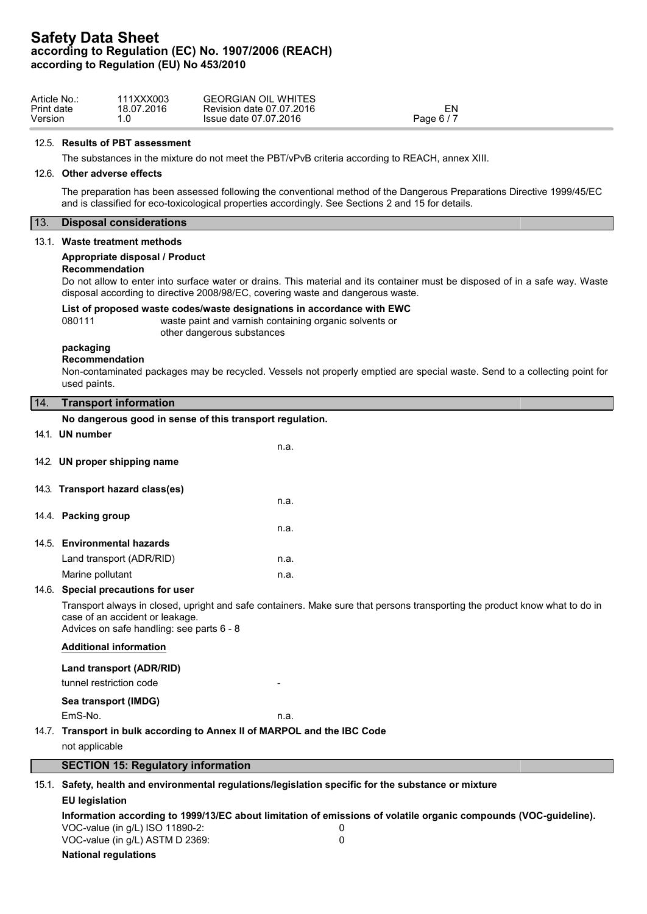| Article No | 111XXX003  | <b>GEORGIAN OIL WHITES</b> |            |
|------------|------------|----------------------------|------------|
| Print date | 18.07.2016 | Revision date 07.07.2016   | EΝ         |
| Version    |            | Issue date 07.07.2016      | Page 6 / 7 |

#### 12.5. **Results of PBT assessment**

The substances in the mixture do not meet the PBT/vPvB criteria according to REACH, annex XIII.

#### 12.6. **Other adverse effects**

The preparation has been assessed following the conventional method of the Dangerous Preparations Directive 1999/45/EC and is classified for eco-toxicological properties accordingly. See Sections 2 and 15 for details.

# 13. **Disposal considerations**

#### 13.1. **Waste treatment methods**

#### **Appropriate disposal / Product**

#### **Recommendation**

Do not allow to enter into surface water or drains. This material and its container must be disposed of in a safe way. Waste disposal according to directive 2008/98/EC, covering waste and dangerous waste.

#### **List of proposed waste codes/waste designations in accordance with EWC**

080111 waste paint and varnish containing organic solvents or other dangerous substances

#### **packaging Recommendation**

Non-contaminated packages may be recycled. Vessels not properly emptied are special waste. Send to a collecting point for used paints.

# 14. **Transport information No dangerous good in sense of this transport regulation.** 14.1. **UN number** n.a. 14.2. **UN proper shipping name** 14.3. **Transport hazard class(es)** n.a.

|  | 14.4. Packing group |  |
|--|---------------------|--|
|--|---------------------|--|

|                             | n.a. |
|-----------------------------|------|
| 14.5. Environmental hazards |      |
| Land transport (ADR/RID)    | n.a. |
| Marine pollutant            | n.a. |

## 14.6. **Special precautions for user**

Transport always in closed, upright and safe containers. Make sure that persons transporting the product know what to do in case of an accident or leakage.

Advices on safe handling: see parts 6 - 8

## **Additional information**

## **Land transport (ADR/RID)**

tunnel restriction code

# **Sea transport (IMDG)**

EmS-No. **n.a.** n.a.

# 14.7. **Transport in bulk according to Annex II of MARPOL and the IBC Code**

not applicable

# **SECTION 15: Regulatory information**

15.1. **Safety, health and environmental regulations/legislation specific for the substance or mixture**

# **EU legislation Information according to 1999/13/EC about limitation of emissions of volatile organic compounds (VOC-guideline).** VOC-value (in g/L) ISO 11890-2: 0 VOC-value (in g/L) ASTM D 2369: 0 **National regulations**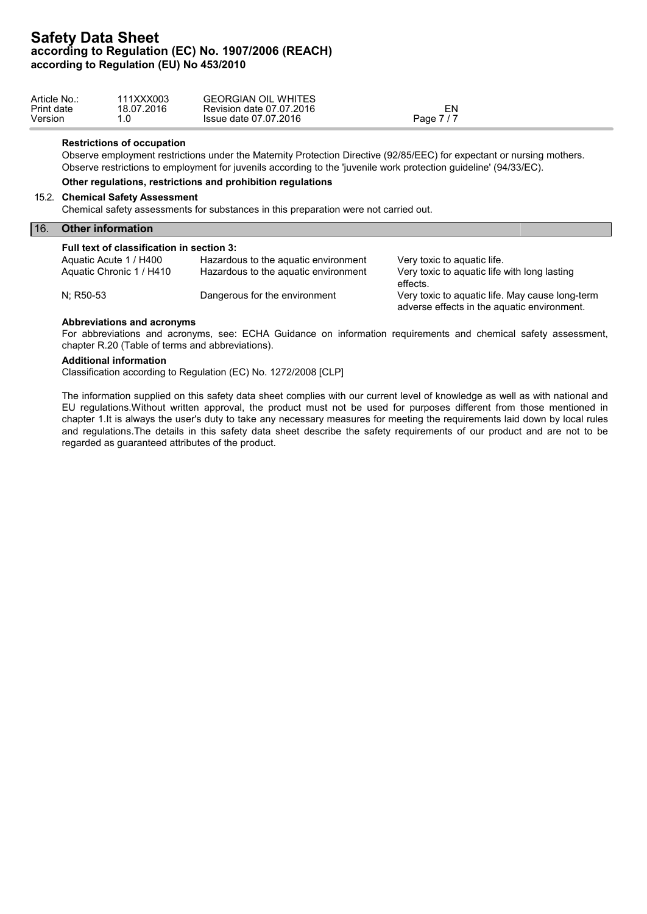| Article No.: | 111XXX003  | <b>GEORGIAN OIL WHITES</b> |                     |  |
|--------------|------------|----------------------------|---------------------|--|
| Print date   | 18.07.2016 | Revision date 07.07.2016   | EΝ                  |  |
| Version      |            | Issue date 07.07.2016      | <u> 717</u><br>Page |  |

### **Restrictions of occupation**

Observe employment restrictions under the Maternity Protection Directive (92/85/EEC) for expectant or nursing mothers. Observe restrictions to employment for juvenils according to the 'juvenile work protection guideline' (94/33/EC).

#### **Other regulations, restrictions and prohibition regulations**

#### 15.2. **Chemical Safety Assessment**

Chemical safety assessments for substances in this preparation were not carried out.

#### 16. **Other information**

### **Full text of classification in section 3:**

| Aquatic Acute 1 / H400   | Hazardous to the aguatic environment | Very toxic to aguatic life.                     |
|--------------------------|--------------------------------------|-------------------------------------------------|
| Aquatic Chronic 1 / H410 | Hazardous to the aquatic environment | Very toxic to aquatic life with long lasting    |
|                          |                                      | effects.                                        |
| N: R50-53                | Dangerous for the environment        | Very toxic to aguatic life. May cause long-term |
|                          |                                      | adverse effects in the aquatic environment.     |

#### **Abbreviations and acronyms**

For abbreviations and acronyms, see: ECHA Guidance on information requirements and chemical safety assessment, chapter R.20 (Table of terms and abbreviations).

#### **Additional information**

Classification according to Regulation (EC) No. 1272/2008 [CLP]

The information supplied on this safety data sheet complies with our current level of knowledge as well as with national and EU regulations.Without written approval, the product must not be used for purposes different from those mentioned in chapter 1.It is always the user's duty to take any necessary measures for meeting the requirements laid down by local rules and regulations.The details in this safety data sheet describe the safety requirements of our product and are not to be regarded as guaranteed attributes of the product.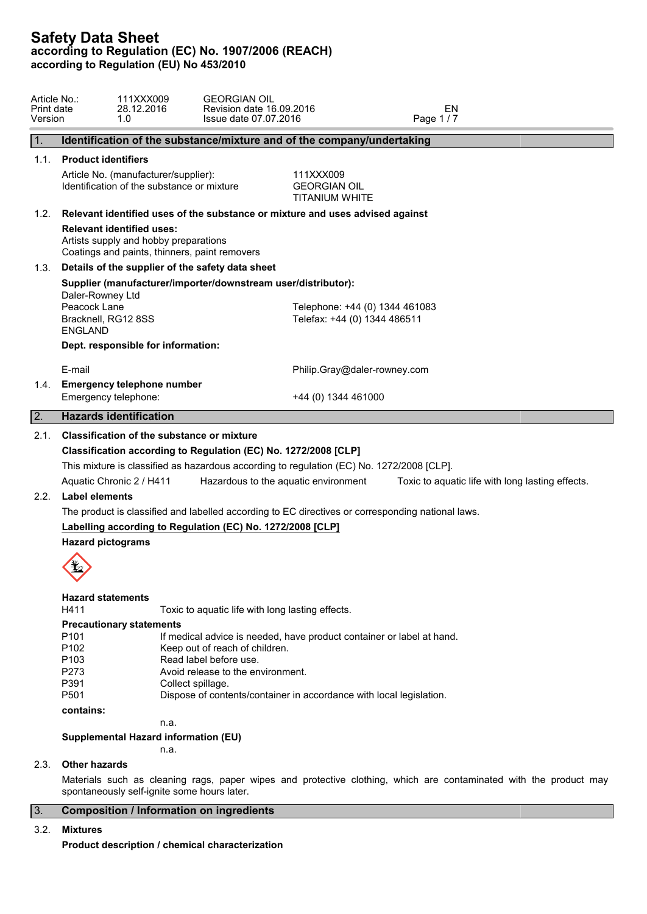| Article No.:<br>Print date<br>Version |                                                                           | 111XXX009<br>28.12.2016<br>1.0                                                                                             | <b>GEORGIAN OIL</b><br>Revision date 16.09.2016<br>Issue date 07.07.2016                                           |                                                                                                                                              | EN<br>Page 1/7                                                                                    |                                                                                                                   |  |
|---------------------------------------|---------------------------------------------------------------------------|----------------------------------------------------------------------------------------------------------------------------|--------------------------------------------------------------------------------------------------------------------|----------------------------------------------------------------------------------------------------------------------------------------------|---------------------------------------------------------------------------------------------------|-------------------------------------------------------------------------------------------------------------------|--|
| 1.                                    |                                                                           |                                                                                                                            |                                                                                                                    | Identification of the substance/mixture and of the company/undertaking                                                                       |                                                                                                   |                                                                                                                   |  |
| 1.1.                                  | <b>Product identifiers</b>                                                | Article No. (manufacturer/supplier):<br>Identification of the substance or mixture                                         |                                                                                                                    | 111XXX009<br><b>GEORGIAN OIL</b><br><b>TITANIUM WHITE</b>                                                                                    |                                                                                                   |                                                                                                                   |  |
| 1.2.                                  |                                                                           |                                                                                                                            |                                                                                                                    | Relevant identified uses of the substance or mixture and uses advised against                                                                |                                                                                                   |                                                                                                                   |  |
|                                       |                                                                           | <b>Relevant identified uses:</b><br>Artists supply and hobby preparations<br>Coatings and paints, thinners, paint removers |                                                                                                                    |                                                                                                                                              |                                                                                                   |                                                                                                                   |  |
| 1.3.                                  |                                                                           |                                                                                                                            | Details of the supplier of the safety data sheet                                                                   |                                                                                                                                              |                                                                                                   |                                                                                                                   |  |
|                                       | Daler-Rowney Ltd<br>Peacock Lane<br>Bracknell, RG12 8SS<br><b>ENGLAND</b> |                                                                                                                            | Supplier (manufacturer/importer/downstream user/distributor):                                                      | Telephone: +44 (0) 1344 461083<br>Telefax: +44 (0) 1344 486511                                                                               |                                                                                                   |                                                                                                                   |  |
|                                       |                                                                           | Dept. responsible for information:                                                                                         |                                                                                                                    |                                                                                                                                              |                                                                                                   |                                                                                                                   |  |
|                                       | E-mail                                                                    |                                                                                                                            |                                                                                                                    | Philip.Gray@daler-rowney.com                                                                                                                 |                                                                                                   |                                                                                                                   |  |
| 1.4.                                  | Emergency telephone:                                                      | <b>Emergency telephone number</b>                                                                                          |                                                                                                                    | +44 (0) 1344 461000                                                                                                                          |                                                                                                   |                                                                                                                   |  |
| 2.                                    |                                                                           | <b>Hazards identification</b>                                                                                              |                                                                                                                    |                                                                                                                                              |                                                                                                   |                                                                                                                   |  |
| 2.1.                                  |                                                                           | Classification of the substance or mixture<br>Aquatic Chronic 2 / H411                                                     | Classification according to Regulation (EC) No. 1272/2008 [CLP]                                                    | This mixture is classified as hazardous according to regulation (EC) No. 1272/2008 [CLP].<br>Hazardous to the aquatic environment            |                                                                                                   | Toxic to aquatic life with long lasting effects.                                                                  |  |
| 2.2.                                  | Label elements                                                            |                                                                                                                            |                                                                                                                    |                                                                                                                                              | The product is classified and labelled according to EC directives or corresponding national laws. |                                                                                                                   |  |
|                                       |                                                                           |                                                                                                                            | Labelling according to Regulation (EC) No. 1272/2008 [CLP]                                                         |                                                                                                                                              |                                                                                                   |                                                                                                                   |  |
|                                       | <b>Hazard pictograms</b>                                                  |                                                                                                                            |                                                                                                                    |                                                                                                                                              |                                                                                                   |                                                                                                                   |  |
|                                       | <b>Hazard statements</b><br>H411                                          |                                                                                                                            | Toxic to aquatic life with long lasting effects.                                                                   |                                                                                                                                              |                                                                                                   |                                                                                                                   |  |
|                                       | P <sub>101</sub><br>P102<br>P103<br>P273<br>P391<br>P501                  | <b>Precautionary statements</b>                                                                                            | Keep out of reach of children.<br>Read label before use.<br>Avoid release to the environment.<br>Collect spillage. | If medical advice is needed, have product container or label at hand.<br>Dispose of contents/container in accordance with local legislation. |                                                                                                   |                                                                                                                   |  |
|                                       | contains:                                                                 |                                                                                                                            |                                                                                                                    |                                                                                                                                              |                                                                                                   |                                                                                                                   |  |
|                                       |                                                                           | n.a.                                                                                                                       |                                                                                                                    |                                                                                                                                              |                                                                                                   |                                                                                                                   |  |
|                                       |                                                                           | Supplemental Hazard information (EU)<br>n.a.                                                                               |                                                                                                                    |                                                                                                                                              |                                                                                                   |                                                                                                                   |  |
| 2.3.                                  | <b>Other hazards</b>                                                      |                                                                                                                            |                                                                                                                    |                                                                                                                                              |                                                                                                   |                                                                                                                   |  |
|                                       |                                                                           | spontaneously self-ignite some hours later.                                                                                |                                                                                                                    |                                                                                                                                              |                                                                                                   | Materials such as cleaning rags, paper wipes and protective clothing, which are contaminated with the product may |  |

# 3. **Composition / Information on ingredients**

# 3.2. **Mixtures**

**Product description / chemical characterization**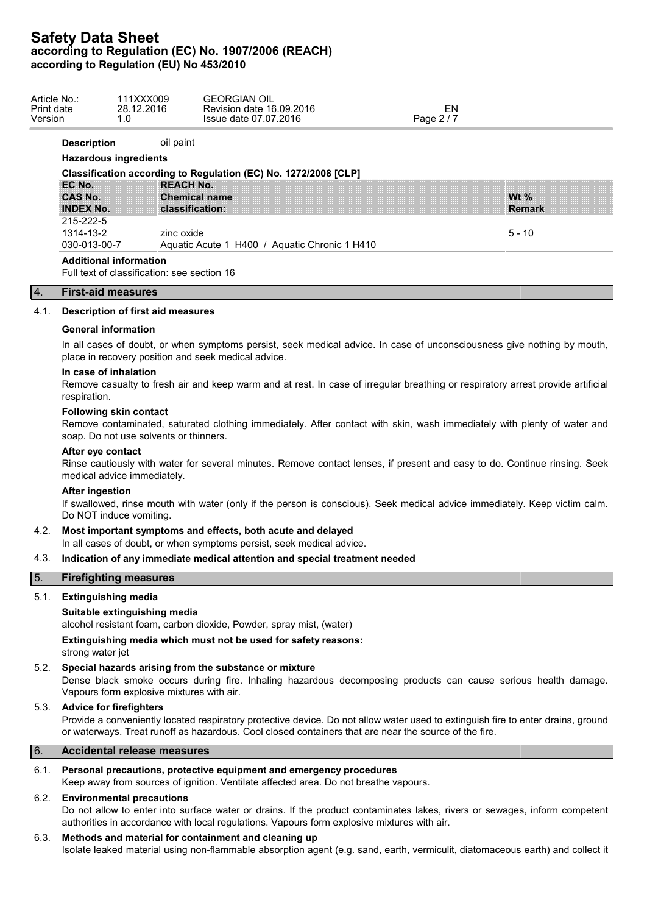| Article No.:<br>Print date<br>Version | 111XXX009<br>28.12.2016<br>1.0              | <b>GEORGIAN OIL</b><br>Revision date 16.09.2016<br>Issue date 07.07.2016 | EN<br>Page 2 / 7 |                     |  |
|---------------------------------------|---------------------------------------------|--------------------------------------------------------------------------|------------------|---------------------|--|
| <b>Description</b>                    | oil paint                                   |                                                                          |                  |                     |  |
|                                       | <b>Hazardous ingredients</b>                |                                                                          |                  |                     |  |
|                                       |                                             | Classification according to Regulation (EC) No. 1272/2008 [CLP]          |                  |                     |  |
| EC No.                                |                                             | <b>REACH No.</b>                                                         |                  |                     |  |
| <b>CAS No.</b>                        |                                             | <b>Chemical name</b>                                                     |                  | W <sub>t</sub> $\%$ |  |
| <b>INDEX No.</b>                      |                                             | classification:                                                          |                  | <b>Remark</b>       |  |
| 215-222-5                             |                                             |                                                                          |                  |                     |  |
| 1314-13-2                             |                                             | zinc oxide                                                               |                  | $5 - 10$            |  |
| 030-013-00-7                          |                                             | Aquatic Acute 1 H400 / Aquatic Chronic 1 H410                            |                  |                     |  |
|                                       | <b>Additional information</b>               |                                                                          |                  |                     |  |
|                                       | Full text of classification: see section 16 |                                                                          |                  |                     |  |
| 4.                                    | <b>First-aid measures</b>                   |                                                                          |                  |                     |  |

## 4.1. **Description of first aid measures**

#### **General information**

In all cases of doubt, or when symptoms persist, seek medical advice. In case of unconsciousness give nothing by mouth, place in recovery position and seek medical advice.

### **In case of inhalation**

Remove casualty to fresh air and keep warm and at rest. In case of irregular breathing or respiratory arrest provide artificial respiration.

#### **Following skin contact**

Remove contaminated, saturated clothing immediately. After contact with skin, wash immediately with plenty of water and soap. Do not use solvents or thinners.

#### **After eye contact**

Rinse cautiously with water for several minutes. Remove contact lenses, if present and easy to do. Continue rinsing. Seek medical advice immediately.

# **After ingestion**

If swallowed, rinse mouth with water (only if the person is conscious). Seek medical advice immediately. Keep victim calm. Do NOT induce vomiting.

# 4.2. **Most important symptoms and effects, both acute and delayed**

In all cases of doubt, or when symptoms persist, seek medical advice.

# 4.3. **Indication of any immediate medical attention and special treatment needed**

## 5. **Firefighting measures**

#### 5.1. **Extinguishing media**

#### **Suitable extinguishing media**

alcohol resistant foam, carbon dioxide, Powder, spray mist, (water)

**Extinguishing media which must not be used for safety reasons:** strong water jet

# 5.2. **Special hazards arising from the substance or mixture**

Dense black smoke occurs during fire. Inhaling hazardous decomposing products can cause serious health damage. Vapours form explosive mixtures with air.

# 5.3. **Advice for firefighters**

Provide a conveniently located respiratory protective device. Do not allow water used to extinguish fire to enter drains, ground or waterways. Treat runoff as hazardous. Cool closed containers that are near the source of the fire.

### 6. **Accidental release measures**

# 6.1. **Personal precautions, protective equipment and emergency procedures**

Keep away from sources of ignition. Ventilate affected area. Do not breathe vapours.

# 6.2. **Environmental precautions**

Do not allow to enter into surface water or drains. If the product contaminates lakes, rivers or sewages, inform competent authorities in accordance with local regulations. Vapours form explosive mixtures with air.

# 6.3. **Methods and material for containment and cleaning up**

Isolate leaked material using non-flammable absorption agent (e.g. sand, earth, vermiculit, diatomaceous earth) and collect it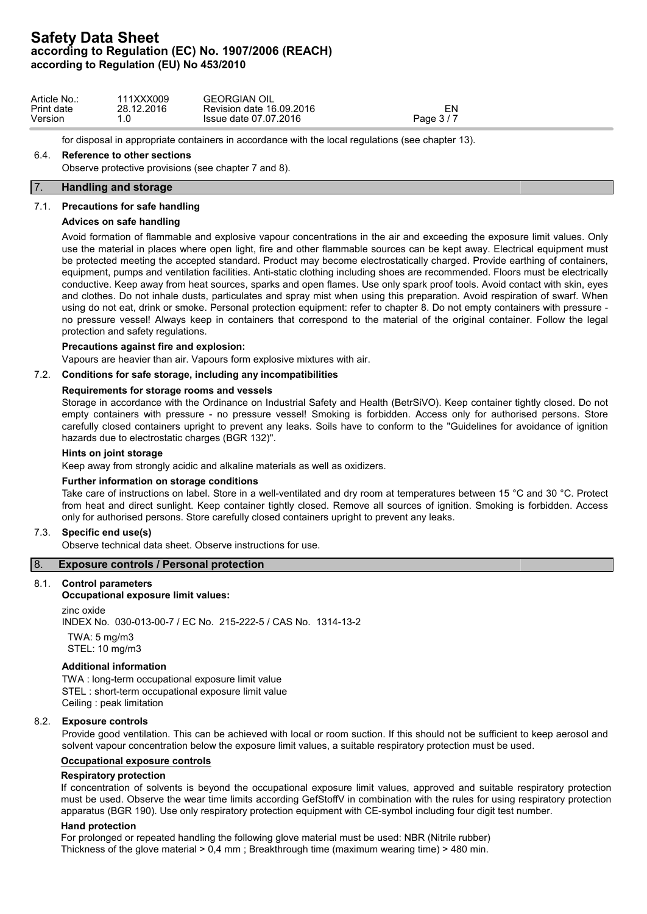| Article No.: | 111XXX009  | <b>GEORGIAN OIL</b>      |          |
|--------------|------------|--------------------------|----------|
| Print date   | 28.12.2016 | Revision date 16.09.2016 | ור-      |
| Version      | .u         | Issue date 07.07.2016    | Page 3/7 |

for disposal in appropriate containers in accordance with the local regulations (see chapter 13).

# 6.4. **Reference to other sections**

Observe protective provisions (see chapter 7 and 8).

# 7. **Handling and storage**

# 7.1. **Precautions for safe handling**

# **Advices on safe handling**

Avoid formation of flammable and explosive vapour concentrations in the air and exceeding the exposure limit values. Only use the material in places where open light, fire and other flammable sources can be kept away. Electrical equipment must be protected meeting the accepted standard. Product may become electrostatically charged. Provide earthing of containers, equipment, pumps and ventilation facilities. Anti-static clothing including shoes are recommended. Floors must be electrically conductive. Keep away from heat sources, sparks and open flames. Use only spark proof tools. Avoid contact with skin, eyes and clothes. Do not inhale dusts, particulates and spray mist when using this preparation. Avoid respiration of swarf. When using do not eat, drink or smoke. Personal protection equipment: refer to chapter 8. Do not empty containers with pressure no pressure vessel! Always keep in containers that correspond to the material of the original container. Follow the legal protection and safety regulations.

## **Precautions against fire and explosion:**

Vapours are heavier than air. Vapours form explosive mixtures with air.

# 7.2. **Conditions for safe storage, including any incompatibilities**

## **Requirements for storage rooms and vessels**

Storage in accordance with the Ordinance on Industrial Safety and Health (BetrSiVO). Keep container tightly closed. Do not empty containers with pressure - no pressure vessel! Smoking is forbidden. Access only for authorised persons. Store carefully closed containers upright to prevent any leaks. Soils have to conform to the "Guidelines for avoidance of ignition hazards due to electrostatic charges (BGR 132)".

#### **Hints on joint storage**

Keep away from strongly acidic and alkaline materials as well as oxidizers.

## **Further information on storage conditions**

Take care of instructions on label. Store in a well-ventilated and dry room at temperatures between 15 °C and 30 °C. Protect from heat and direct sunlight. Keep container tightly closed. Remove all sources of ignition. Smoking is forbidden. Access only for authorised persons. Store carefully closed containers upright to prevent any leaks.

## 7.3. **Specific end use(s)**

Observe technical data sheet. Observe instructions for use.

## 8. **Exposure controls / Personal protection**

# 8.1. **Control parameters**

## **Occupational exposure limit values:**

zinc oxide INDEX No. 030-013-00-7 / EC No. 215-222-5 / CAS No. 1314-13-2 TWA: 5 mg/m3 STEL: 10 mg/m3

## **Additional information**

TWA : long-term occupational exposure limit value STEL : short-term occupational exposure limit value Ceiling : peak limitation

# 8.2. **Exposure controls**

Provide good ventilation. This can be achieved with local or room suction. If this should not be sufficient to keep aerosol and solvent vapour concentration below the exposure limit values, a suitable respiratory protection must be used.

# **Occupational exposure controls**

# **Respiratory protection**

If concentration of solvents is beyond the occupational exposure limit values, approved and suitable respiratory protection must be used. Observe the wear time limits according GefStoffV in combination with the rules for using respiratory protection apparatus (BGR 190). Use only respiratory protection equipment with CE-symbol including four digit test number.

# **Hand protection**

For prolonged or repeated handling the following glove material must be used: NBR (Nitrile rubber) Thickness of the glove material > 0,4 mm ; Breakthrough time (maximum wearing time) > 480 min.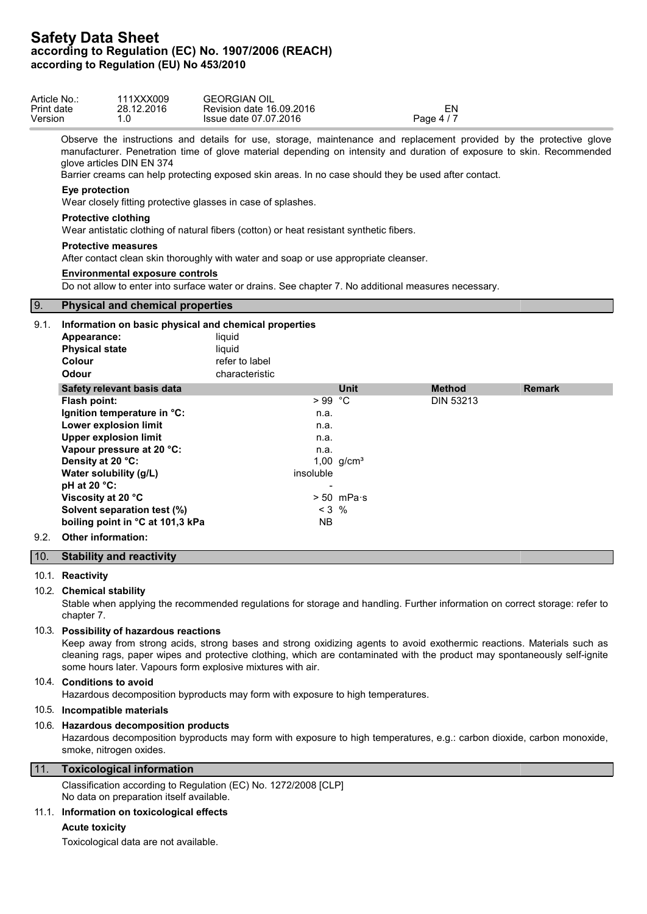| Article No.:<br>Print date<br>Version |                                                                                                                                | 111XXX009<br>28.12.2016<br>1.0                                                                                                                                                       | <b>GEORGIAN OIL</b><br>Revision date 16.09.2016<br>Issue date 07.07.2016                                                                                                                                                                                                                                                                             |                                         | Page 4 / 7 | EN               |               |  |
|---------------------------------------|--------------------------------------------------------------------------------------------------------------------------------|--------------------------------------------------------------------------------------------------------------------------------------------------------------------------------------|------------------------------------------------------------------------------------------------------------------------------------------------------------------------------------------------------------------------------------------------------------------------------------------------------------------------------------------------------|-----------------------------------------|------------|------------------|---------------|--|
|                                       |                                                                                                                                | glove articles DIN EN 374                                                                                                                                                            | Observe the instructions and details for use, storage, maintenance and replacement provided by the protective glove<br>manufacturer. Penetration time of glove material depending on intensity and duration of exposure to skin. Recommended<br>Barrier creams can help protecting exposed skin areas. In no case should they be used after contact. |                                         |            |                  |               |  |
|                                       | Eye protection                                                                                                                 |                                                                                                                                                                                      | Wear closely fitting protective glasses in case of splashes.                                                                                                                                                                                                                                                                                         |                                         |            |                  |               |  |
|                                       | <b>Protective clothing</b>                                                                                                     |                                                                                                                                                                                      | Wear antistatic clothing of natural fibers (cotton) or heat resistant synthetic fibers.                                                                                                                                                                                                                                                              |                                         |            |                  |               |  |
|                                       | <b>Protective measures</b>                                                                                                     |                                                                                                                                                                                      | After contact clean skin thoroughly with water and soap or use appropriate cleanser.                                                                                                                                                                                                                                                                 |                                         |            |                  |               |  |
|                                       |                                                                                                                                | <b>Environmental exposure controls</b>                                                                                                                                               | Do not allow to enter into surface water or drains. See chapter 7. No additional measures necessary.                                                                                                                                                                                                                                                 |                                         |            |                  |               |  |
| $\vert 9.$                            |                                                                                                                                | <b>Physical and chemical properties</b>                                                                                                                                              |                                                                                                                                                                                                                                                                                                                                                      |                                         |            |                  |               |  |
| 9.1.                                  | Appearance:<br><b>Physical state</b><br>Colour<br>Odour                                                                        |                                                                                                                                                                                      | Information on basic physical and chemical properties<br>liquid<br>liquid<br>refer to label<br>characteristic                                                                                                                                                                                                                                        |                                         |            |                  |               |  |
|                                       |                                                                                                                                | Safety relevant basis data                                                                                                                                                           |                                                                                                                                                                                                                                                                                                                                                      | Unit                                    |            | <b>Method</b>    | <b>Remark</b> |  |
| 9.2.                                  | Flash point:<br>Density at 20 °C:<br>Water solubility (g/L)<br>pH at 20 °C:<br>Viscosity at 20 °C<br><b>Other information:</b> | Ignition temperature in °C:<br>Lower explosion limit<br><b>Upper explosion limit</b><br>Vapour pressure at 20 °C:<br>Solvent separation test (%)<br>boiling point in °C at 101,3 kPa | $>99$ °C<br>n.a.<br>n.a.<br>n.a.<br>n.a.<br>insoluble<br>$< 3$ %<br><b>NB</b>                                                                                                                                                                                                                                                                        | 1,00 $g/cm^{3}$<br>$> 50$ mPa $\cdot$ s |            | <b>DIN 53213</b> |               |  |
|                                       |                                                                                                                                |                                                                                                                                                                                      |                                                                                                                                                                                                                                                                                                                                                      |                                         |            |                  |               |  |
| 10.                                   |                                                                                                                                | <b>Stability and reactivity</b>                                                                                                                                                      |                                                                                                                                                                                                                                                                                                                                                      |                                         |            |                  |               |  |
|                                       | 10.1. Reactivity<br>10.2. Chemical stability<br>chapter 7.                                                                     |                                                                                                                                                                                      | Stable when applying the recommended regulations for storage and handling. Further information on correct storage: refer to                                                                                                                                                                                                                          |                                         |            |                  |               |  |

# 10.3. **Possibility of hazardous reactions**

Keep away from strong acids, strong bases and strong oxidizing agents to avoid exothermic reactions. Materials such as cleaning rags, paper wipes and protective clothing, which are contaminated with the product may spontaneously self-ignite some hours later. Vapours form explosive mixtures with air.

# 10.4. **Conditions to avoid**

Hazardous decomposition byproducts may form with exposure to high temperatures.

# 10.5. **Incompatible materials**

## 10.6. **Hazardous decomposition products**

Hazardous decomposition byproducts may form with exposure to high temperatures, e.g.: carbon dioxide, carbon monoxide, smoke, nitrogen oxides.

# 11. **Toxicological information**

Classification according to Regulation (EC) No. 1272/2008 [CLP] No data on preparation itself available.

# 11.1. **Information on toxicological effects**

## **Acute toxicity**

Toxicological data are not available.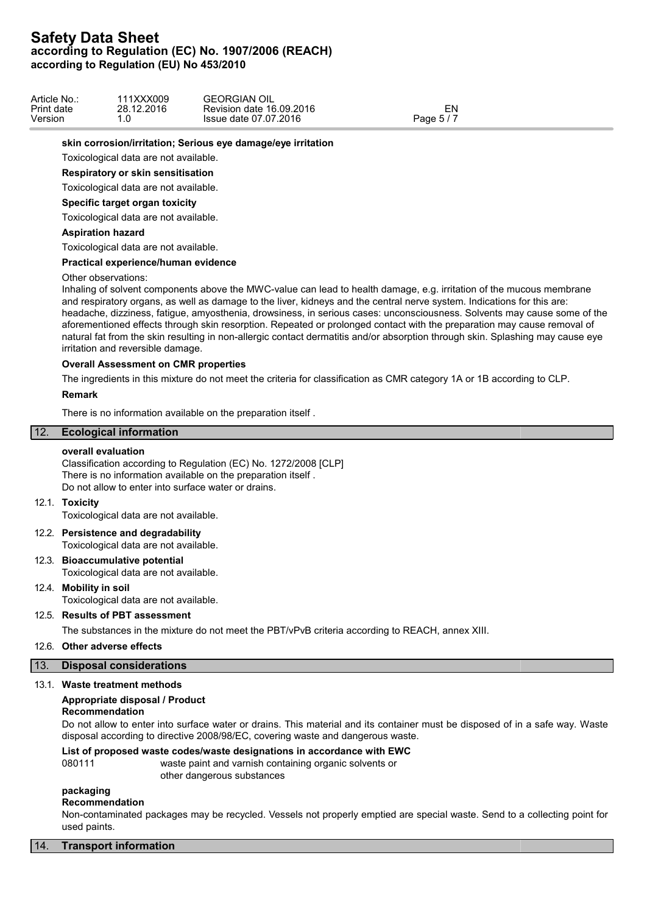| Article No.: | 111XXX009  | <b>GEORGIAN OIL</b>      |            |  |
|--------------|------------|--------------------------|------------|--|
| Print date   | 28.12.2016 | Revision date 16,09,2016 | ΞN         |  |
| Version      | ں.         | Issue date 07.07.2016    | Page $5/7$ |  |

### **skin corrosion/irritation; Serious eye damage/eye irritation**

Toxicological data are not available.

### **Respiratory or skin sensitisation**

Toxicological data are not available.

#### **Specific target organ toxicity**

Toxicological data are not available.

## **Aspiration hazard**

Toxicological data are not available.

## **Practical experience/human evidence**

#### Other observations:

Inhaling of solvent components above the MWC-value can lead to health damage, e.g. irritation of the mucous membrane and respiratory organs, as well as damage to the liver, kidneys and the central nerve system. Indications for this are: headache, dizziness, fatigue, amyosthenia, drowsiness, in serious cases: unconsciousness. Solvents may cause some of the aforementioned effects through skin resorption. Repeated or prolonged contact with the preparation may cause removal of natural fat from the skin resulting in non-allergic contact dermatitis and/or absorption through skin. Splashing may cause eye irritation and reversible damage.

# **Overall Assessment on CMR properties**

The ingredients in this mixture do not meet the criteria for classification as CMR category 1A or 1B according to CLP.

#### **Remark**

There is no information available on the preparation itself .

# 12. **Ecological information**

#### **overall evaluation**

Classification according to Regulation (EC) No. 1272/2008 [CLP] There is no information available on the preparation itself . Do not allow to enter into surface water or drains.

#### 12.1. **Toxicity**

Toxicological data are not available.

### 12.2. **Persistence and degradability** Toxicological data are not available.

12.3. **Bioaccumulative potential**

Toxicological data are not available.

# 12.4. **Mobility in soil**

Toxicological data are not available.

# 12.5. **Results of PBT assessment**

The substances in the mixture do not meet the PBT/vPvB criteria according to REACH, annex XIII.

## 12.6. **Other adverse effects**

## 13. **Disposal considerations**

## 13.1. **Waste treatment methods**

## **Appropriate disposal / Product**

# **Recommendation**

Do not allow to enter into surface water or drains. This material and its container must be disposed of in a safe way. Waste disposal according to directive 2008/98/EC, covering waste and dangerous waste.

# **List of proposed waste codes/waste designations in accordance with EWC**

080111 waste paint and varnish containing organic solvents or other dangerous substances

# **packaging**

## **Recommendation**

Non-contaminated packages may be recycled. Vessels not properly emptied are special waste. Send to a collecting point for used paints.

## 14. **Transport information**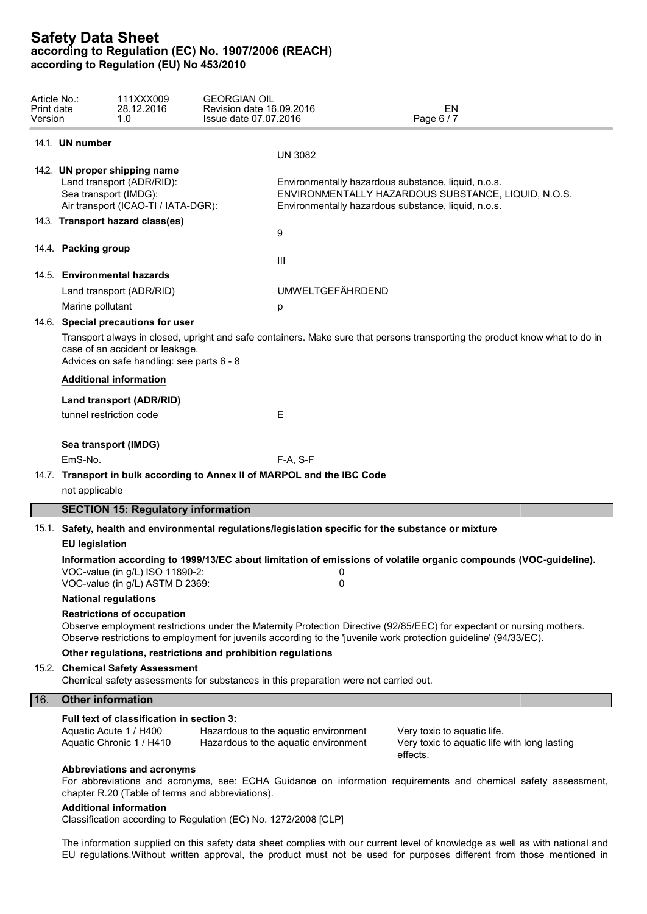| Article No.:<br>Print date<br>Version |                             | 111XXX009<br>28.12.2016<br>1.0                                                                    | <b>GEORGIAN OIL</b><br>Revision date 16.09.2016<br>Issue date 07.07.2016 |                                                                                                            | EN<br>Page 6 / 7                                                                                                                                                                                                                            |  |  |
|---------------------------------------|-----------------------------|---------------------------------------------------------------------------------------------------|--------------------------------------------------------------------------|------------------------------------------------------------------------------------------------------------|---------------------------------------------------------------------------------------------------------------------------------------------------------------------------------------------------------------------------------------------|--|--|
|                                       | 14.1. UN number             |                                                                                                   |                                                                          |                                                                                                            |                                                                                                                                                                                                                                             |  |  |
|                                       |                             |                                                                                                   |                                                                          | <b>UN 3082</b>                                                                                             |                                                                                                                                                                                                                                             |  |  |
|                                       | Sea transport (IMDG):       | 14.2. UN proper shipping name<br>Land transport (ADR/RID):<br>Air transport (ICAO-TI / IATA-DGR): |                                                                          | Environmentally hazardous substance, liquid, n.o.s.<br>Environmentally hazardous substance, liquid, n.o.s. | ENVIRONMENTALLY HAZARDOUS SUBSTANCE, LIQUID, N.O.S.                                                                                                                                                                                         |  |  |
|                                       |                             | 14.3. Transport hazard class(es)                                                                  |                                                                          |                                                                                                            |                                                                                                                                                                                                                                             |  |  |
|                                       |                             |                                                                                                   |                                                                          | 9                                                                                                          |                                                                                                                                                                                                                                             |  |  |
|                                       | 14.4. Packing group         |                                                                                                   |                                                                          | Ш                                                                                                          |                                                                                                                                                                                                                                             |  |  |
|                                       |                             | 14.5. Environmental hazards                                                                       |                                                                          |                                                                                                            |                                                                                                                                                                                                                                             |  |  |
|                                       |                             | Land transport (ADR/RID)                                                                          |                                                                          | <b>UMWELTGEFÄHRDEND</b>                                                                                    |                                                                                                                                                                                                                                             |  |  |
|                                       | Marine pollutant            |                                                                                                   |                                                                          | р                                                                                                          |                                                                                                                                                                                                                                             |  |  |
|                                       |                             | 14.6. Special precautions for user                                                                |                                                                          |                                                                                                            |                                                                                                                                                                                                                                             |  |  |
|                                       |                             | case of an accident or leakage.<br>Advices on safe handling: see parts 6 - 8                      |                                                                          |                                                                                                            | Transport always in closed, upright and safe containers. Make sure that persons transporting the product know what to do in                                                                                                                 |  |  |
|                                       |                             | <b>Additional information</b>                                                                     |                                                                          |                                                                                                            |                                                                                                                                                                                                                                             |  |  |
|                                       |                             | Land transport (ADR/RID)                                                                          |                                                                          |                                                                                                            |                                                                                                                                                                                                                                             |  |  |
|                                       | tunnel restriction code     |                                                                                                   |                                                                          | Е                                                                                                          |                                                                                                                                                                                                                                             |  |  |
|                                       |                             | Sea transport (IMDG)                                                                              |                                                                          |                                                                                                            |                                                                                                                                                                                                                                             |  |  |
|                                       | EmS-No.                     |                                                                                                   |                                                                          | $F-A, S-F$                                                                                                 |                                                                                                                                                                                                                                             |  |  |
|                                       |                             |                                                                                                   |                                                                          | 14.7. Transport in bulk according to Annex II of MARPOL and the IBC Code                                   |                                                                                                                                                                                                                                             |  |  |
|                                       | not applicable              |                                                                                                   |                                                                          |                                                                                                            |                                                                                                                                                                                                                                             |  |  |
|                                       |                             | <b>SECTION 15: Regulatory information</b>                                                         |                                                                          |                                                                                                            |                                                                                                                                                                                                                                             |  |  |
|                                       |                             |                                                                                                   |                                                                          | 15.1. Safety, health and environmental regulations/legislation specific for the substance or mixture       |                                                                                                                                                                                                                                             |  |  |
|                                       | <b>EU legislation</b>       |                                                                                                   |                                                                          |                                                                                                            |                                                                                                                                                                                                                                             |  |  |
|                                       |                             | VOC-value (in g/L) ISO 11890-2:<br>VOC-value (in g/L) ASTM D 2369:                                |                                                                          | 0<br>0                                                                                                     | Information according to 1999/13/EC about limitation of emissions of volatile organic compounds (VOC-guideline).                                                                                                                            |  |  |
|                                       | <b>National regulations</b> |                                                                                                   |                                                                          |                                                                                                            |                                                                                                                                                                                                                                             |  |  |
|                                       |                             | <b>Restrictions of occupation</b>                                                                 |                                                                          |                                                                                                            | Observe employment restrictions under the Maternity Protection Directive (92/85/EEC) for expectant or nursing mothers.<br>Observe restrictions to employment for juvenils according to the 'juvenile work protection guideline' (94/33/EC). |  |  |
|                                       |                             |                                                                                                   | Other regulations, restrictions and prohibition regulations              |                                                                                                            |                                                                                                                                                                                                                                             |  |  |
|                                       |                             | 15.2. Chemical Safety Assessment                                                                  |                                                                          | Chemical safety assessments for substances in this preparation were not carried out.                       |                                                                                                                                                                                                                                             |  |  |
| 16.                                   | <b>Other information</b>    |                                                                                                   |                                                                          |                                                                                                            |                                                                                                                                                                                                                                             |  |  |
|                                       |                             | Full text of classification in section 3:<br>Aquatic Acute 1 / H400<br>Aquatic Chronic 1 / H410   |                                                                          | Hazardous to the aquatic environment<br>Hazardous to the aquatic environment                               | Very toxic to aquatic life.<br>Very toxic to aquatic life with long lasting<br>effects.                                                                                                                                                     |  |  |
|                                       |                             | Abbreviations and acronyms<br><b>Additional information</b>                                       | chapter R.20 (Table of terms and abbreviations).                         |                                                                                                            | For abbreviations and acronyms, see: ECHA Guidance on information requirements and chemical safety assessment,                                                                                                                              |  |  |

Classification according to Regulation (EC) No. 1272/2008 [CLP]

The information supplied on this safety data sheet complies with our current level of knowledge as well as with national and EU regulations.Without written approval, the product must not be used for purposes different from those mentioned in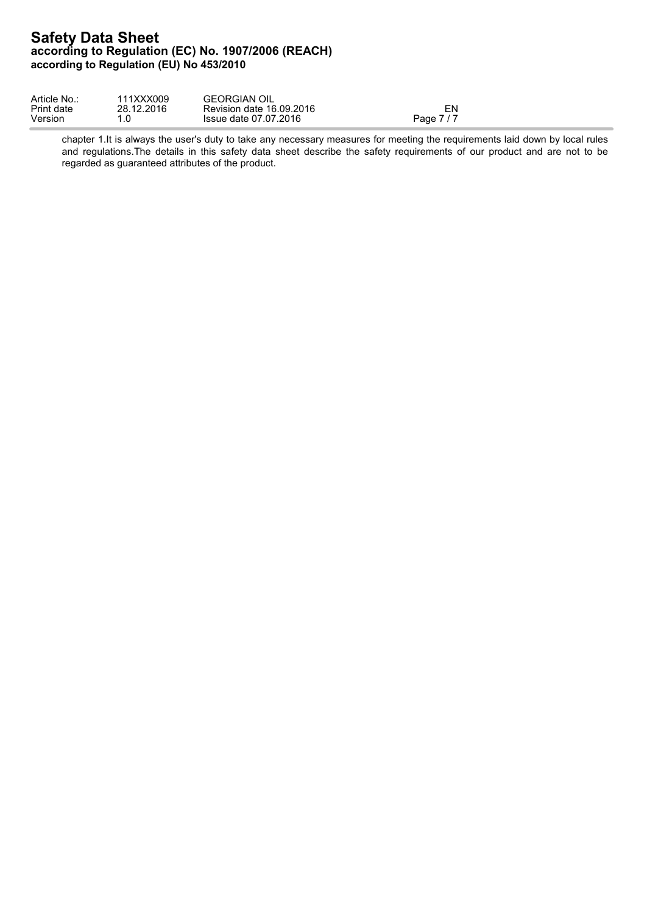| Article No | 111XXX009        | <b>GEORGIAN OIL</b>      |            |
|------------|------------------|--------------------------|------------|
| Print date | 28.12.2016       | Revision date 16.09.2016 | ⊏N         |
| Version    | $\sqrt{ }$<br>.v | Issue date 07.07.2016    | Page 7 / 7 |

chapter 1.It is always the user's duty to take any necessary measures for meeting the requirements laid down by local rules and regulations. The details in this safety data sheet describe the safety requirements of our product and are not to be regarded as guaranteed attributes of the product.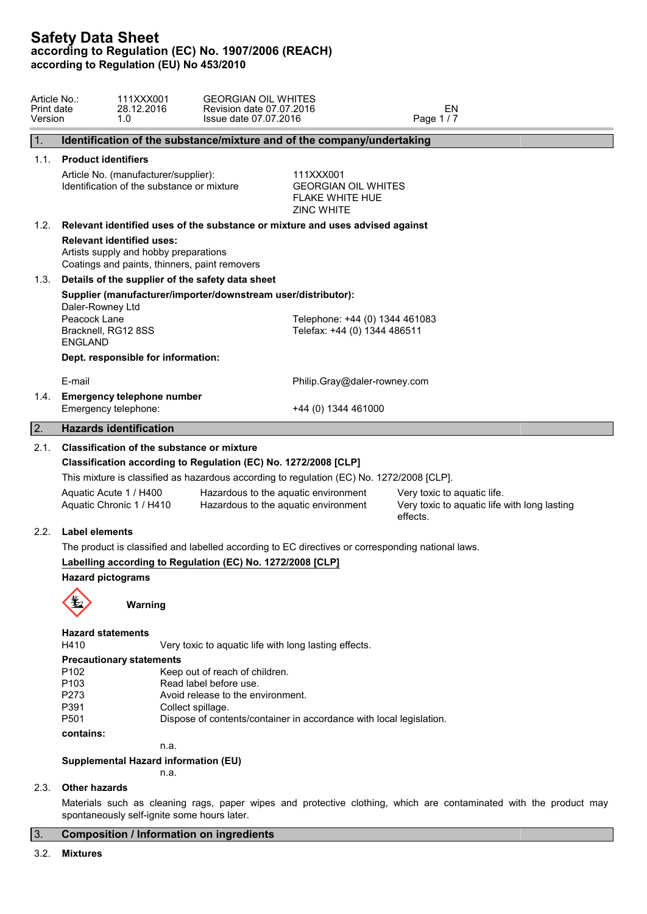| Article No.:<br>Print date<br>Version | <b>GEORGIAN OIL WHITES</b><br>111XXX001<br>28.12.2016<br>Revision date 07.07.2016<br>1.0<br>Issue date 07.07.2016          |                                                                                        | EN<br>Page 1/7                                                                                                    |
|---------------------------------------|----------------------------------------------------------------------------------------------------------------------------|----------------------------------------------------------------------------------------|-------------------------------------------------------------------------------------------------------------------|
| 1.                                    | Identification of the substance/mixture and of the company/undertaking                                                     |                                                                                        |                                                                                                                   |
| 1.1.                                  | <b>Product identifiers</b>                                                                                                 |                                                                                        |                                                                                                                   |
|                                       | Article No. (manufacturer/supplier):<br>Identification of the substance or mixture                                         | 111XXX001<br><b>GEORGIAN OIL WHITES</b><br><b>FLAKE WHITE HUE</b><br><b>ZINC WHITE</b> |                                                                                                                   |
| 1.2.                                  | Relevant identified uses of the substance or mixture and uses advised against                                              |                                                                                        |                                                                                                                   |
|                                       | <b>Relevant identified uses:</b><br>Artists supply and hobby preparations<br>Coatings and paints, thinners, paint removers |                                                                                        |                                                                                                                   |
| 1.3.                                  | Details of the supplier of the safety data sheet                                                                           |                                                                                        |                                                                                                                   |
|                                       | Supplier (manufacturer/importer/downstream user/distributor):<br>Daler-Rowney Ltd                                          |                                                                                        |                                                                                                                   |
|                                       | Peacock Lane<br>Bracknell, RG12 8SS<br><b>ENGLAND</b>                                                                      | Telephone: +44 (0) 1344 461083<br>Telefax: +44 (0) 1344 486511                         |                                                                                                                   |
|                                       | Dept. responsible for information:                                                                                         |                                                                                        |                                                                                                                   |
|                                       | E-mail                                                                                                                     | Philip.Gray@daler-rowney.com                                                           |                                                                                                                   |
| 1.4.                                  | <b>Emergency telephone number</b><br>Emergency telephone:                                                                  | +44 (0) 1344 461000                                                                    |                                                                                                                   |
| $\boxed{2}$                           | <b>Hazards identification</b>                                                                                              |                                                                                        |                                                                                                                   |
| 2.1.                                  | <b>Classification of the substance or mixture</b><br>Classification according to Regulation (EC) No. 1272/2008 [CLP]       |                                                                                        |                                                                                                                   |
|                                       | This mixture is classified as hazardous according to regulation (EC) No. 1272/2008 [CLP].                                  |                                                                                        |                                                                                                                   |
|                                       | Aquatic Acute 1 / H400<br>Aquatic Chronic 1 / H410                                                                         | Hazardous to the aquatic environment<br>Hazardous to the aquatic environment           | Very toxic to aquatic life.<br>Very toxic to aquatic life with long lasting<br>effects.                           |
| 2.2.                                  | Label elements                                                                                                             |                                                                                        |                                                                                                                   |
|                                       | The product is classified and labelled according to EC directives or corresponding national laws.                          |                                                                                        |                                                                                                                   |
|                                       | Labelling according to Regulation (EC) No. 1272/2008 [CLP]                                                                 |                                                                                        |                                                                                                                   |
|                                       | <b>Hazard pictograms</b>                                                                                                   |                                                                                        |                                                                                                                   |
|                                       | Warning                                                                                                                    |                                                                                        |                                                                                                                   |
|                                       | <b>Hazard statements</b><br>H410<br>Very toxic to aquatic life with long lasting effects.                                  |                                                                                        |                                                                                                                   |
|                                       | <b>Precautionary statements</b>                                                                                            |                                                                                        |                                                                                                                   |
|                                       | P <sub>102</sub><br>Keep out of reach of children.                                                                         |                                                                                        |                                                                                                                   |
|                                       | P <sub>103</sub><br>Read label before use.<br>P273<br>Avoid release to the environment.                                    |                                                                                        |                                                                                                                   |
|                                       | P391<br>Collect spillage.<br>P501<br>Dispose of contents/container in accordance with local legislation.                   |                                                                                        |                                                                                                                   |
|                                       | contains:                                                                                                                  |                                                                                        |                                                                                                                   |
|                                       | n.a.                                                                                                                       |                                                                                        |                                                                                                                   |
|                                       | Supplemental Hazard information (EU)<br>n.a.                                                                               |                                                                                        |                                                                                                                   |
| 2.3.                                  | <b>Other hazards</b>                                                                                                       |                                                                                        |                                                                                                                   |
|                                       | spontaneously self-ignite some hours later.                                                                                |                                                                                        | Materials such as cleaning rags, paper wipes and protective clothing, which are contaminated with the product may |

# 3. **Composition / Information on ingredients**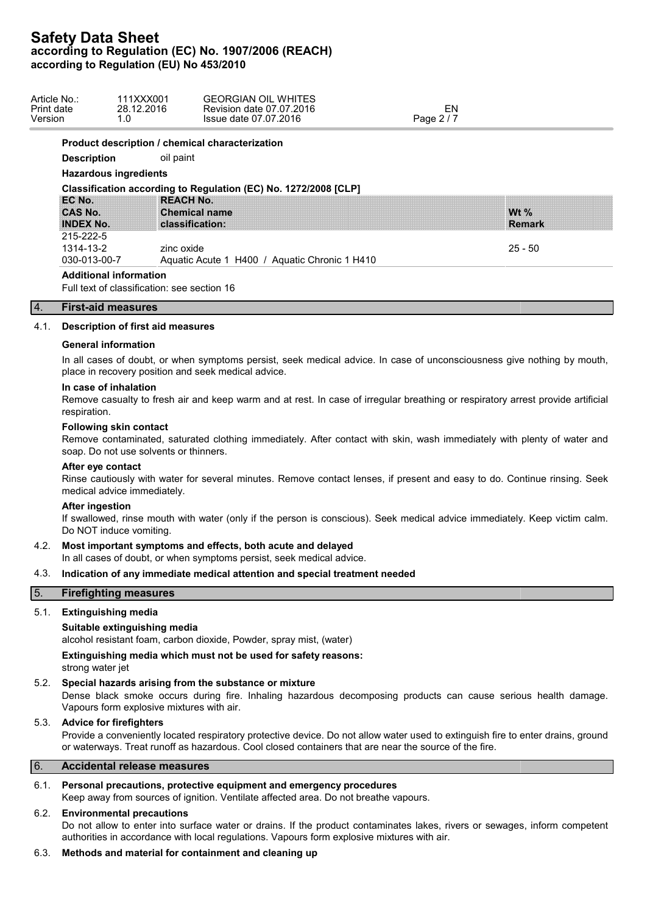| Article No.:<br>Print date<br>Version<br>1.0 | 111XXX001<br>28.12.2016 | <b>GEORGIAN OIL WHITES</b><br>Revision date 07.07.2016<br>Issue date 07.07.2016 | EN<br>Page 2/7 |               |  |
|----------------------------------------------|-------------------------|---------------------------------------------------------------------------------|----------------|---------------|--|
|                                              |                         | Product description / chemical characterization                                 |                |               |  |
| <b>Description</b>                           | oil paint               |                                                                                 |                |               |  |
| <b>Hazardous ingredients</b>                 |                         |                                                                                 |                |               |  |
|                                              |                         | Classification according to Regulation (EC) No. 1272/2008 [CLP]                 |                |               |  |
| EC No.                                       | <b>REACH No.</b>        |                                                                                 |                |               |  |
| CAS No.                                      | <b>Chemical name</b>    |                                                                                 |                | Wt $%$        |  |
| <b>INDEX No.</b>                             | classification:         |                                                                                 |                | <b>Remark</b> |  |
| 215-222-5                                    |                         |                                                                                 |                |               |  |
| 1314-13-2                                    | zinc oxide              |                                                                                 |                | $25 - 50$     |  |
| 030-013-00-7                                 |                         | Aquatic Acute 1 H400 / Aquatic Chronic 1 H410                                   |                |               |  |

## 4. **First-aid measures**

## 4.1. **Description of first aid measures**

#### **General information**

In all cases of doubt, or when symptoms persist, seek medical advice. In case of unconsciousness give nothing by mouth, place in recovery position and seek medical advice.

### **In case of inhalation**

Remove casualty to fresh air and keep warm and at rest. In case of irregular breathing or respiratory arrest provide artificial respiration.

#### **Following skin contact**

Remove contaminated, saturated clothing immediately. After contact with skin, wash immediately with plenty of water and soap. Do not use solvents or thinners.

#### **After eye contact**

Rinse cautiously with water for several minutes. Remove contact lenses, if present and easy to do. Continue rinsing. Seek medical advice immediately.

### **After ingestion**

If swallowed, rinse mouth with water (only if the person is conscious). Seek medical advice immediately. Keep victim calm. Do NOT induce vomiting.

#### 4.2. **Most important symptoms and effects, both acute and delayed**

In all cases of doubt, or when symptoms persist, seek medical advice.

#### 4.3. **Indication of any immediate medical attention and special treatment needed**

### 5. **Firefighting measures**

### 5.1. **Extinguishing media**

#### **Suitable extinguishing media**

alcohol resistant foam, carbon dioxide, Powder, spray mist, (water)

**Extinguishing media which must not be used for safety reasons:** strong water jet

## 5.2. **Special hazards arising from the substance or mixture**

Dense black smoke occurs during fire. Inhaling hazardous decomposing products can cause serious health damage. Vapours form explosive mixtures with air.

# 5.3. **Advice for firefighters**

Provide a conveniently located respiratory protective device. Do not allow water used to extinguish fire to enter drains, ground or waterways. Treat runoff as hazardous. Cool closed containers that are near the source of the fire.

#### 6. **Accidental release measures**

## 6.1. **Personal precautions, protective equipment and emergency procedures**

Keep away from sources of ignition. Ventilate affected area. Do not breathe vapours.

## 6.2. **Environmental precautions**

Do not allow to enter into surface water or drains. If the product contaminates lakes, rivers or sewages, inform competent authorities in accordance with local regulations. Vapours form explosive mixtures with air.

## 6.3. **Methods and material for containment and cleaning up**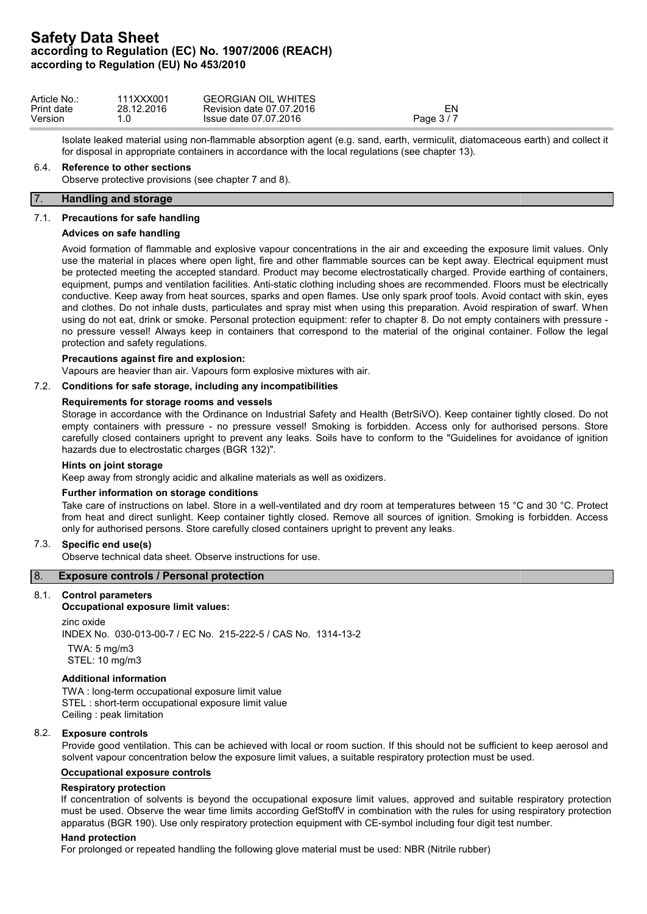| Article No.: | 111XXX001  | <b>GEORGIAN OIL WHITES</b> |          |
|--------------|------------|----------------------------|----------|
| Print date   | 28.12.2016 | Revision date 07.07.2016   | EN       |
| Version      |            | Issue date 07.07.2016      | Page 3/7 |

Isolate leaked material using non-flammable absorption agent (e.g. sand, earth, vermiculit, diatomaceous earth) and collect it for disposal in appropriate containers in accordance with the local regulations (see chapter 13).

#### 6.4. **Reference to other sections**

Observe protective provisions (see chapter 7 and 8).

### 7. **Handling and storage**

#### 7.1. **Precautions for safe handling**

#### **Advices on safe handling**

Avoid formation of flammable and explosive vapour concentrations in the air and exceeding the exposure limit values. Only use the material in places where open light, fire and other flammable sources can be kept away. Electrical equipment must be protected meeting the accepted standard. Product may become electrostatically charged. Provide earthing of containers, equipment, pumps and ventilation facilities. Anti-static clothing including shoes are recommended. Floors must be electrically conductive. Keep away from heat sources, sparks and open flames. Use only spark proof tools. Avoid contact with skin, eyes and clothes. Do not inhale dusts, particulates and spray mist when using this preparation. Avoid respiration of swarf. When using do not eat, drink or smoke. Personal protection equipment: refer to chapter 8. Do not empty containers with pressure no pressure vessel! Always keep in containers that correspond to the material of the original container. Follow the legal protection and safety regulations.

#### **Precautions against fire and explosion:**

Vapours are heavier than air. Vapours form explosive mixtures with air.

## 7.2. **Conditions for safe storage, including any incompatibilities**

#### **Requirements for storage rooms and vessels**

Storage in accordance with the Ordinance on Industrial Safety and Health (BetrSiVO). Keep container tightly closed. Do not empty containers with pressure - no pressure vessel! Smoking is forbidden. Access only for authorised persons. Store carefully closed containers upright to prevent any leaks. Soils have to conform to the "Guidelines for avoidance of ignition hazards due to electrostatic charges (BGR 132)".

#### **Hints on joint storage**

Keep away from strongly acidic and alkaline materials as well as oxidizers.

#### **Further information on storage conditions**

Take care of instructions on label. Store in a well-ventilated and dry room at temperatures between 15 °C and 30 °C. Protect from heat and direct sunlight. Keep container tightly closed. Remove all sources of ignition. Smoking is forbidden. Access only for authorised persons. Store carefully closed containers upright to prevent any leaks.

## 7.3. **Specific end use(s)**

Observe technical data sheet. Observe instructions for use.

# 8. **Exposure controls / Personal protection**

## 8.1. **Control parameters**

# **Occupational exposure limit values:**

zinc oxide INDEX No. 030-013-00-7 / EC No. 215-222-5 / CAS No. 1314-13-2 TWA: 5 mg/m3 STEL: 10 mg/m3

#### **Additional information**

TWA : long-term occupational exposure limit value STEL : short-term occupational exposure limit value Ceiling : peak limitation

## 8.2. **Exposure controls**

Provide good ventilation. This can be achieved with local or room suction. If this should not be sufficient to keep aerosol and solvent vapour concentration below the exposure limit values, a suitable respiratory protection must be used.

#### **Occupational exposure controls**

#### **Respiratory protection**

If concentration of solvents is beyond the occupational exposure limit values, approved and suitable respiratory protection must be used. Observe the wear time limits according GefStoffV in combination with the rules for using respiratory protection apparatus (BGR 190). Use only respiratory protection equipment with CE-symbol including four digit test number.

### **Hand protection**

For prolonged or repeated handling the following glove material must be used: NBR (Nitrile rubber)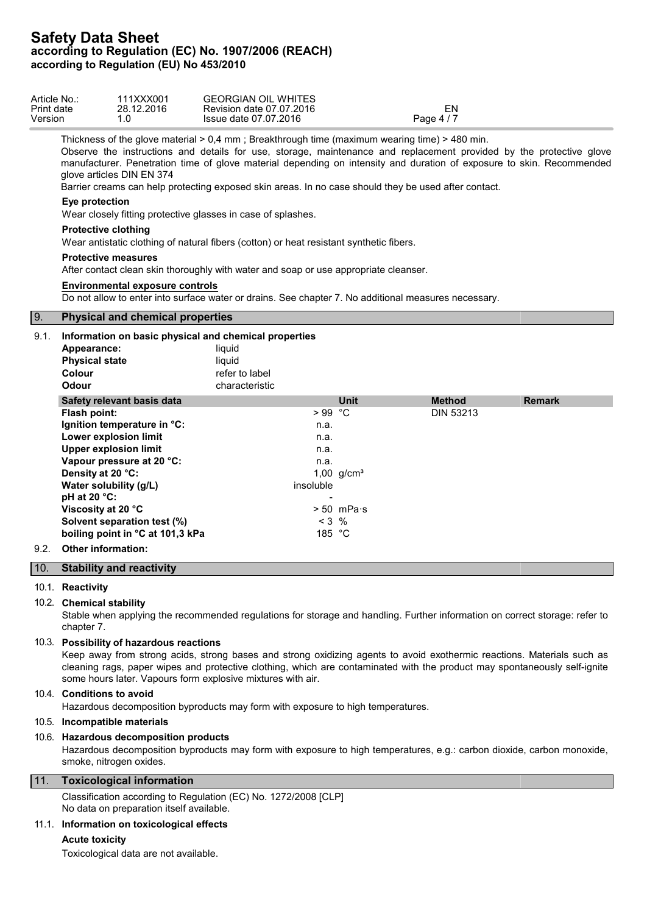| Article No.: | 111XXX001  | <b>GEORGIAN OIL WHITES</b> |            |  |
|--------------|------------|----------------------------|------------|--|
| Print date   | 28.12.2016 | Revision date 07.07.2016   | ΞN         |  |
| Version      | . . U      | Issue date 07.07.2016      | Page 4 / 7 |  |
|              |            |                            |            |  |

Thickness of the glove material > 0,4 mm ; Breakthrough time (maximum wearing time) > 480 min.

Observe the instructions and details for use, storage, maintenance and replacement provided by the protective glove manufacturer. Penetration time of glove material depending on intensity and duration of exposure to skin. Recommended glove articles DIN EN 374

Barrier creams can help protecting exposed skin areas. In no case should they be used after contact.

## **Eye protection**

Wear closely fitting protective glasses in case of splashes.

## **Protective clothing**

Wear antistatic clothing of natural fibers (cotton) or heat resistant synthetic fibers.

# **Protective measures**

After contact clean skin thoroughly with water and soap or use appropriate cleanser.

## **Environmental exposure controls**

Do not allow to enter into surface water or drains. See chapter 7. No additional measures necessary.

# 9. **Physical and chemical properties**

| 9.1. | Information on basic physical and chemical properties<br>Appearance:<br><b>Physical state</b><br>Colour<br>Odour | liquid<br>liquid<br>refer to label<br>characteristic |                      |                  |               |
|------|------------------------------------------------------------------------------------------------------------------|------------------------------------------------------|----------------------|------------------|---------------|
|      | Safety relevant basis data                                                                                       |                                                      | <b>Unit</b>          | <b>Method</b>    | <b>Remark</b> |
|      | Flash point:                                                                                                     | $>99$ °C                                             |                      | <b>DIN 53213</b> |               |
|      | Ignition temperature in °C:                                                                                      | n.a.                                                 |                      |                  |               |
|      | Lower explosion limit                                                                                            | n.a.                                                 |                      |                  |               |
|      | <b>Upper explosion limit</b>                                                                                     | n.a.                                                 |                      |                  |               |
|      | Vapour pressure at 20 °C:                                                                                        | n.a.                                                 |                      |                  |               |
|      | Density at 20 °C:                                                                                                |                                                      | 1,00 $g/cm^{3}$      |                  |               |
|      | Water solubility (g/L)                                                                                           | insoluble                                            |                      |                  |               |
|      | $pH$ at 20 $°C$ :                                                                                                |                                                      |                      |                  |               |
|      | Viscosity at 20 °C                                                                                               |                                                      | $> 50$ mPa $\cdot$ s |                  |               |
|      | Solvent separation test (%)                                                                                      |                                                      | $< 3$ %              |                  |               |
|      | boiling point in °C at 101,3 kPa                                                                                 |                                                      | 185 $°C$             |                  |               |
| 9.2. | <b>Other information:</b>                                                                                        |                                                      |                      |                  |               |

# 10. **Stability and reactivity**

# 10.1. **Reactivity**

## 10.2. **Chemical stability**

Stable when applying the recommended regulations for storage and handling. Further information on correct storage: refer to chapter 7.

# 10.3. **Possibility of hazardous reactions**

Keep away from strong acids, strong bases and strong oxidizing agents to avoid exothermic reactions. Materials such as cleaning rags, paper wipes and protective clothing, which are contaminated with the product may spontaneously self-ignite some hours later. Vapours form explosive mixtures with air.

# 10.4. **Conditions to avoid**

Hazardous decomposition byproducts may form with exposure to high temperatures.

# 10.5. **Incompatible materials**

## 10.6. **Hazardous decomposition products**

Hazardous decomposition byproducts may form with exposure to high temperatures, e.g.: carbon dioxide, carbon monoxide, smoke, nitrogen oxides.

# 11. **Toxicological information**

Classification according to Regulation (EC) No. 1272/2008 [CLP] No data on preparation itself available.

# 11.1. **Information on toxicological effects**

## **Acute toxicity**

Toxicological data are not available.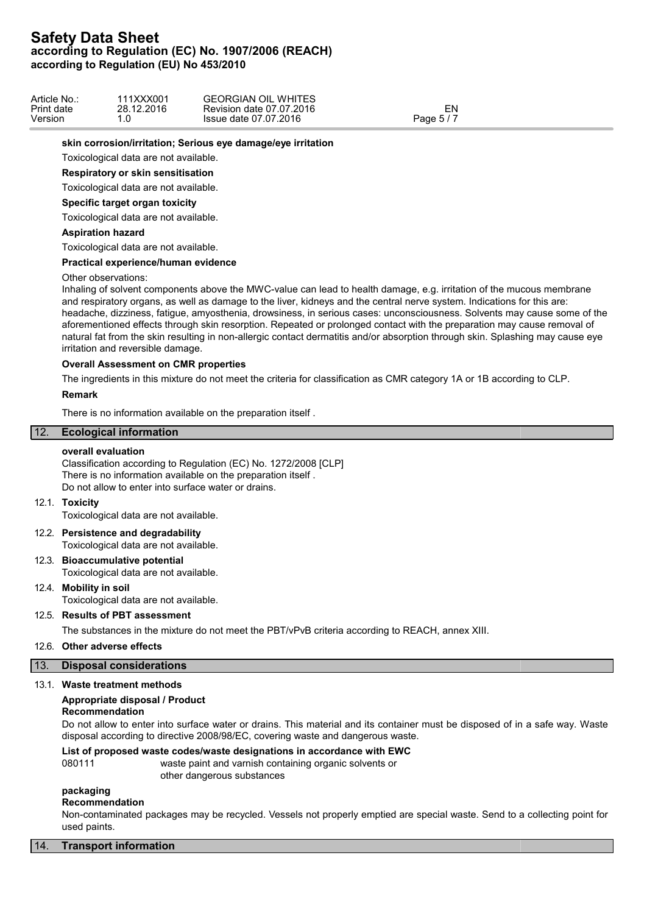| Article No | 111XXX001  | <b>GEORGIAN OIL WHITES</b> |            |  |
|------------|------------|----------------------------|------------|--|
| Print date | 28.12.2016 | Revision date 07.07.2016   | EN         |  |
| Version    | . ب        | Issue date 07.07.2016      | Page $5/7$ |  |

### **skin corrosion/irritation; Serious eye damage/eye irritation**

Toxicological data are not available.

### **Respiratory or skin sensitisation**

Toxicological data are not available.

#### **Specific target organ toxicity**

Toxicological data are not available.

## **Aspiration hazard**

Toxicological data are not available.

#### **Practical experience/human evidence**

#### Other observations:

Inhaling of solvent components above the MWC-value can lead to health damage, e.g. irritation of the mucous membrane and respiratory organs, as well as damage to the liver, kidneys and the central nerve system. Indications for this are: headache, dizziness, fatigue, amyosthenia, drowsiness, in serious cases: unconsciousness. Solvents may cause some of the aforementioned effects through skin resorption. Repeated or prolonged contact with the preparation may cause removal of natural fat from the skin resulting in non-allergic contact dermatitis and/or absorption through skin. Splashing may cause eye irritation and reversible damage.

# **Overall Assessment on CMR properties**

The ingredients in this mixture do not meet the criteria for classification as CMR category 1A or 1B according to CLP.

#### **Remark**

There is no information available on the preparation itself .

# 12. **Ecological information**

#### **overall evaluation**

Classification according to Regulation (EC) No. 1272/2008 [CLP] There is no information available on the preparation itself . Do not allow to enter into surface water or drains.

#### 12.1. **Toxicity**

Toxicological data are not available.

## 12.2. **Persistence and degradability** Toxicological data are not available.

# 12.3. **Bioaccumulative potential**

Toxicological data are not available.

# 12.4. **Mobility in soil**

Toxicological data are not available.

# 12.5. **Results of PBT assessment**

The substances in the mixture do not meet the PBT/vPvB criteria according to REACH, annex XIII.

## 12.6. **Other adverse effects**

## 13. **Disposal considerations**

## 13.1. **Waste treatment methods**

## **Appropriate disposal / Product**

## **Recommendation**

Do not allow to enter into surface water or drains. This material and its container must be disposed of in a safe way. Waste disposal according to directive 2008/98/EC, covering waste and dangerous waste.

# **List of proposed waste codes/waste designations in accordance with EWC**

080111 waste paint and varnish containing organic solvents or other dangerous substances

# **packaging**

#### **Recommendation**

Non-contaminated packages may be recycled. Vessels not properly emptied are special waste. Send to a collecting point for used paints.

## 14. **Transport information**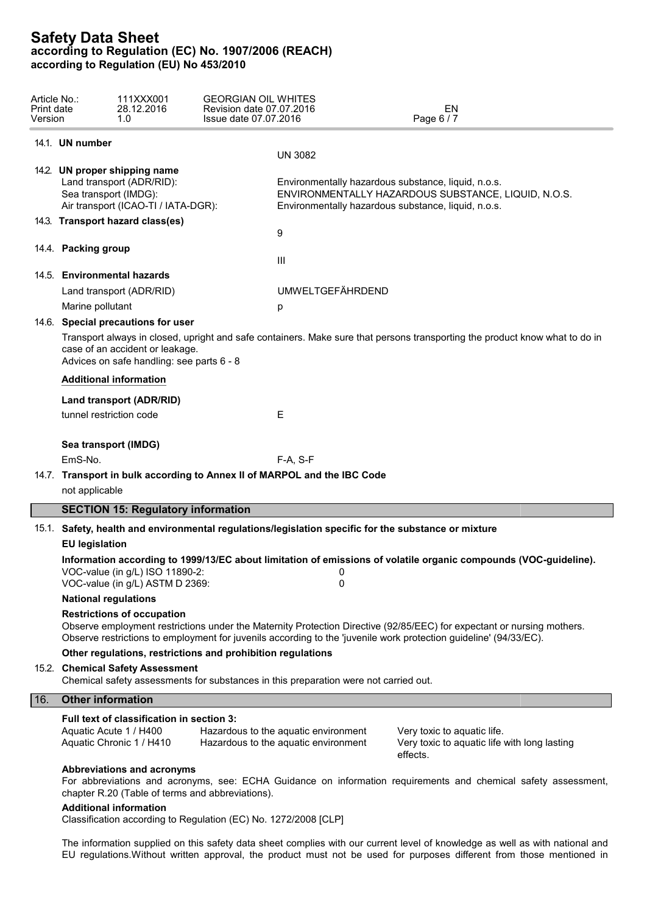| Article No.:<br>Print date<br>Version |                                                                                                                               | 111XXX001<br>28.12.2016<br>1.0                                                                                             | <b>GEORGIAN OIL WHITES</b><br>Revision date 07.07.2016<br>Issue date 07.07.2016 |                                                                                      | EN<br>Page 6 / 7                                                                                                                                                                                                                            |  |  |  |  |
|---------------------------------------|-------------------------------------------------------------------------------------------------------------------------------|----------------------------------------------------------------------------------------------------------------------------|---------------------------------------------------------------------------------|--------------------------------------------------------------------------------------|---------------------------------------------------------------------------------------------------------------------------------------------------------------------------------------------------------------------------------------------|--|--|--|--|
|                                       | 14.1. UN number                                                                                                               |                                                                                                                            |                                                                                 |                                                                                      |                                                                                                                                                                                                                                             |  |  |  |  |
|                                       |                                                                                                                               |                                                                                                                            |                                                                                 | <b>UN 3082</b>                                                                       |                                                                                                                                                                                                                                             |  |  |  |  |
|                                       |                                                                                                                               | 14.2. UN proper shipping name<br>Land transport (ADR/RID):<br>Sea transport (IMDG):<br>Air transport (ICAO-TI / IATA-DGR): |                                                                                 |                                                                                      | Environmentally hazardous substance, liquid, n.o.s.<br>ENVIRONMENTALLY HAZARDOUS SUBSTANCE, LIQUID, N.O.S.<br>Environmentally hazardous substance, liquid, n.o.s.                                                                           |  |  |  |  |
|                                       |                                                                                                                               | 14.3. Transport hazard class(es)                                                                                           |                                                                                 |                                                                                      |                                                                                                                                                                                                                                             |  |  |  |  |
|                                       |                                                                                                                               |                                                                                                                            |                                                                                 | 9                                                                                    |                                                                                                                                                                                                                                             |  |  |  |  |
|                                       | 14.4. Packing group                                                                                                           |                                                                                                                            |                                                                                 | Ш                                                                                    |                                                                                                                                                                                                                                             |  |  |  |  |
|                                       |                                                                                                                               | 14.5. Environmental hazards                                                                                                |                                                                                 |                                                                                      |                                                                                                                                                                                                                                             |  |  |  |  |
|                                       |                                                                                                                               | Land transport (ADR/RID)                                                                                                   |                                                                                 | <b>UMWELTGEFÄHRDEND</b>                                                              |                                                                                                                                                                                                                                             |  |  |  |  |
|                                       | Marine pollutant                                                                                                              |                                                                                                                            |                                                                                 | p                                                                                    |                                                                                                                                                                                                                                             |  |  |  |  |
|                                       |                                                                                                                               | 14.6. Special precautions for user                                                                                         |                                                                                 |                                                                                      |                                                                                                                                                                                                                                             |  |  |  |  |
|                                       |                                                                                                                               | case of an accident or leakage.<br>Advices on safe handling: see parts 6 - 8                                               |                                                                                 |                                                                                      | Transport always in closed, upright and safe containers. Make sure that persons transporting the product know what to do in                                                                                                                 |  |  |  |  |
|                                       |                                                                                                                               | <b>Additional information</b>                                                                                              |                                                                                 |                                                                                      |                                                                                                                                                                                                                                             |  |  |  |  |
|                                       |                                                                                                                               | Land transport (ADR/RID)                                                                                                   |                                                                                 |                                                                                      |                                                                                                                                                                                                                                             |  |  |  |  |
|                                       |                                                                                                                               | tunnel restriction code                                                                                                    |                                                                                 | Е                                                                                    |                                                                                                                                                                                                                                             |  |  |  |  |
|                                       |                                                                                                                               | Sea transport (IMDG)                                                                                                       |                                                                                 |                                                                                      |                                                                                                                                                                                                                                             |  |  |  |  |
|                                       | EmS-No.                                                                                                                       |                                                                                                                            |                                                                                 | F-A, S-F                                                                             |                                                                                                                                                                                                                                             |  |  |  |  |
|                                       |                                                                                                                               |                                                                                                                            |                                                                                 | 14.7. Transport in bulk according to Annex II of MARPOL and the IBC Code             |                                                                                                                                                                                                                                             |  |  |  |  |
|                                       | not applicable                                                                                                                |                                                                                                                            |                                                                                 |                                                                                      |                                                                                                                                                                                                                                             |  |  |  |  |
|                                       |                                                                                                                               | <b>SECTION 15: Regulatory information</b>                                                                                  |                                                                                 |                                                                                      |                                                                                                                                                                                                                                             |  |  |  |  |
|                                       |                                                                                                                               |                                                                                                                            |                                                                                 |                                                                                      |                                                                                                                                                                                                                                             |  |  |  |  |
|                                       | 15.1. Safety, health and environmental regulations/legislation specific for the substance or mixture<br><b>EU legislation</b> |                                                                                                                            |                                                                                 |                                                                                      |                                                                                                                                                                                                                                             |  |  |  |  |
|                                       |                                                                                                                               | VOC-value (in g/L) ISO 11890-2:<br>VOC-value (in g/L) ASTM D 2369:                                                         |                                                                                 | 0<br>0                                                                               | Information according to 1999/13/EC about limitation of emissions of volatile organic compounds (VOC-guideline).                                                                                                                            |  |  |  |  |
|                                       | <b>National regulations</b>                                                                                                   |                                                                                                                            |                                                                                 |                                                                                      |                                                                                                                                                                                                                                             |  |  |  |  |
|                                       |                                                                                                                               | <b>Restrictions of occupation</b>                                                                                          |                                                                                 |                                                                                      | Observe employment restrictions under the Maternity Protection Directive (92/85/EEC) for expectant or nursing mothers.<br>Observe restrictions to employment for juvenils according to the 'juvenile work protection guideline' (94/33/EC). |  |  |  |  |
|                                       |                                                                                                                               | 15.2. Chemical Safety Assessment                                                                                           | Other regulations, restrictions and prohibition regulations                     | Chemical safety assessments for substances in this preparation were not carried out. |                                                                                                                                                                                                                                             |  |  |  |  |
|                                       |                                                                                                                               |                                                                                                                            |                                                                                 |                                                                                      |                                                                                                                                                                                                                                             |  |  |  |  |
| 16.                                   | <b>Other information</b>                                                                                                      |                                                                                                                            |                                                                                 |                                                                                      |                                                                                                                                                                                                                                             |  |  |  |  |
|                                       |                                                                                                                               | Full text of classification in section 3:<br>Aquatic Acute 1 / H400<br>Aquatic Chronic 1 / H410                            |                                                                                 | Hazardous to the aquatic environment<br>Hazardous to the aquatic environment         | Very toxic to aquatic life.<br>Very toxic to aquatic life with long lasting<br>effects.                                                                                                                                                     |  |  |  |  |
|                                       |                                                                                                                               | Abbreviations and acronyms<br><b>Additional information</b>                                                                | chapter R.20 (Table of terms and abbreviations).                                |                                                                                      | For abbreviations and acronyms, see: ECHA Guidance on information requirements and chemical safety assessment,                                                                                                                              |  |  |  |  |

Classification according to Regulation (EC) No. 1272/2008 [CLP]

The information supplied on this safety data sheet complies with our current level of knowledge as well as with national and EU regulations.Without written approval, the product must not be used for purposes different from those mentioned in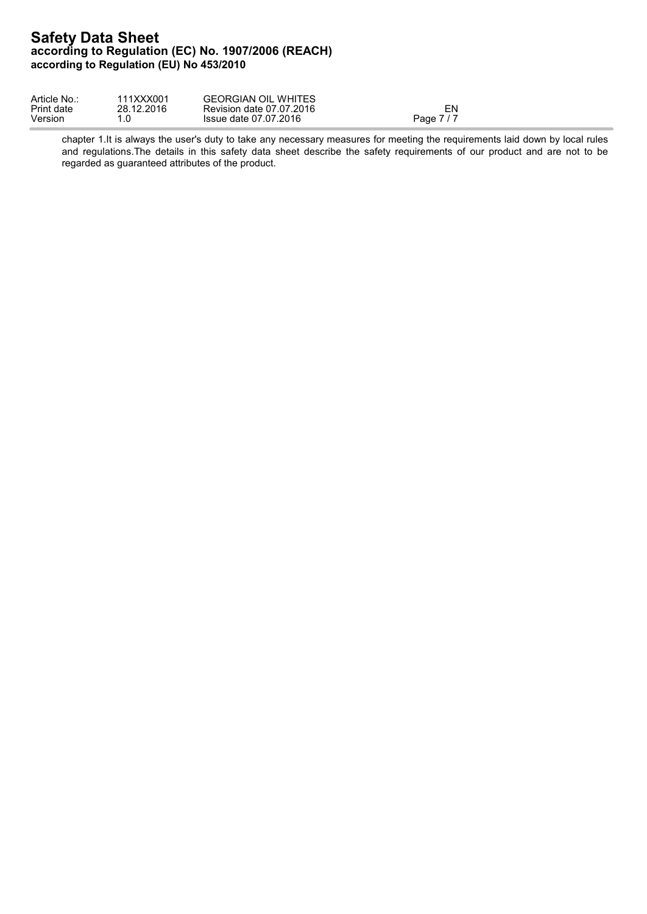| Article No | 111XXX001  | <b>GEORGIAN OIL WHITES</b> |         |  |
|------------|------------|----------------------------|---------|--|
| Print date | 28.12.2016 | Revision date 07.07.2016   | $E_{N}$ |  |
| Version    | .0         | Issue date 07.07.2016      | Page 7  |  |

chapter 1.It is always the user's duty to take any necessary measures for meeting the requirements laid down by local rules and regulations. The details in this safety data sheet describe the safety requirements of our product and are not to be regarded as guaranteed attributes of the product.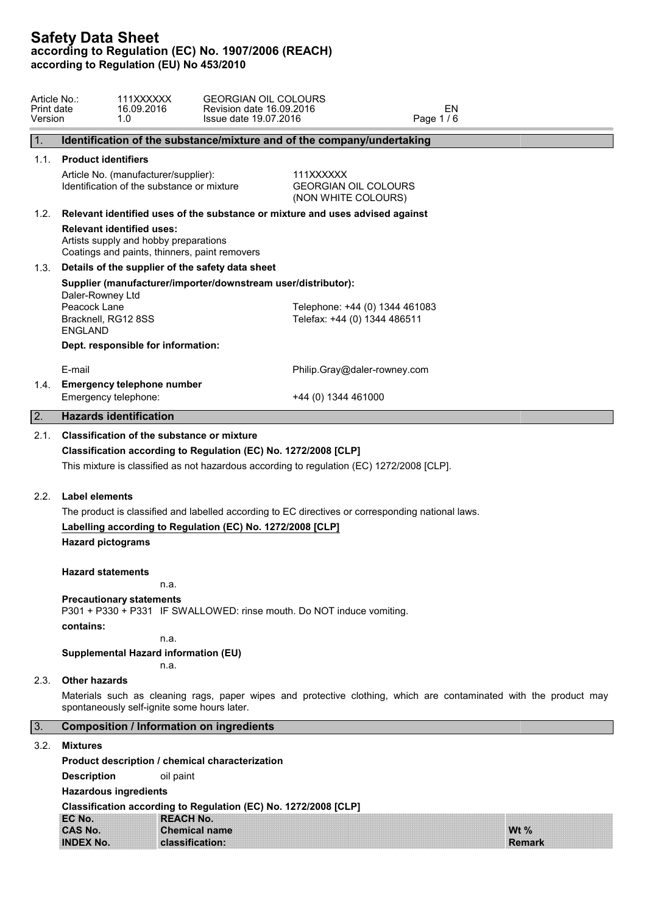| Article No.:<br>Print date<br>Version | 1.0                                                                                                                                                   | 111XXXXXX<br>16.09.2016                                               | <b>GEORGIAN OIL COLOURS</b><br>Revision date 16.09.2016<br>Issue date 19.07.2016                                                                             |                                                                | EN<br>Page 1/6 |                                                                                                                   |  |  |
|---------------------------------------|-------------------------------------------------------------------------------------------------------------------------------------------------------|-----------------------------------------------------------------------|--------------------------------------------------------------------------------------------------------------------------------------------------------------|----------------------------------------------------------------|----------------|-------------------------------------------------------------------------------------------------------------------|--|--|
| 1.                                    |                                                                                                                                                       |                                                                       | Identification of the substance/mixture and of the company/undertaking                                                                                       |                                                                |                |                                                                                                                   |  |  |
| 1.1.                                  |                                                                                                                                                       | <b>Product identifiers</b>                                            |                                                                                                                                                              |                                                                |                |                                                                                                                   |  |  |
|                                       | Article No. (manufacturer/supplier):<br>111XXXXXX<br>Identification of the substance or mixture<br><b>GEORGIAN OIL COLOURS</b><br>(NON WHITE COLOURS) |                                                                       |                                                                                                                                                              |                                                                |                |                                                                                                                   |  |  |
| 1.2.                                  |                                                                                                                                                       |                                                                       | Relevant identified uses of the substance or mixture and uses advised against                                                                                |                                                                |                |                                                                                                                   |  |  |
|                                       | <b>Relevant identified uses:</b><br>Artists supply and hobby preparations<br>Coatings and paints, thinners, paint removers                            |                                                                       |                                                                                                                                                              |                                                                |                |                                                                                                                   |  |  |
| 1.3.                                  |                                                                                                                                                       |                                                                       | Details of the supplier of the safety data sheet                                                                                                             |                                                                |                |                                                                                                                   |  |  |
|                                       | Daler-Rowney Ltd<br>Peacock Lane<br>Bracknell, RG12 8SS                                                                                               |                                                                       | Supplier (manufacturer/importer/downstream user/distributor):                                                                                                | Telephone: +44 (0) 1344 461083<br>Telefax: +44 (0) 1344 486511 |                |                                                                                                                   |  |  |
|                                       | <b>ENGLAND</b>                                                                                                                                        |                                                                       |                                                                                                                                                              |                                                                |                |                                                                                                                   |  |  |
|                                       | Dept. responsible for information:                                                                                                                    |                                                                       |                                                                                                                                                              |                                                                |                |                                                                                                                   |  |  |
|                                       | E-mail                                                                                                                                                |                                                                       |                                                                                                                                                              | Philip.Gray@daler-rowney.com                                   |                |                                                                                                                   |  |  |
| 1.4.                                  | <b>Emergency telephone number</b><br>Emergency telephone:                                                                                             |                                                                       |                                                                                                                                                              | +44 (0) 1344 461000                                            |                |                                                                                                                   |  |  |
| 2.                                    | <b>Hazards identification</b>                                                                                                                         |                                                                       |                                                                                                                                                              |                                                                |                |                                                                                                                   |  |  |
|                                       |                                                                                                                                                       |                                                                       | Classification according to Regulation (EC) No. 1272/2008 [CLP]<br>This mixture is classified as not hazardous according to regulation (EC) 1272/2008 [CLP]. |                                                                |                |                                                                                                                   |  |  |
| 2.2.                                  | Label elements                                                                                                                                        |                                                                       |                                                                                                                                                              |                                                                |                |                                                                                                                   |  |  |
|                                       | The product is classified and labelled according to EC directives or corresponding national laws.                                                     |                                                                       |                                                                                                                                                              |                                                                |                |                                                                                                                   |  |  |
|                                       | Labelling according to Regulation (EC) No. 1272/2008 [CLP]                                                                                            |                                                                       |                                                                                                                                                              |                                                                |                |                                                                                                                   |  |  |
|                                       | <b>Hazard pictograms</b>                                                                                                                              |                                                                       |                                                                                                                                                              |                                                                |                |                                                                                                                   |  |  |
|                                       | <b>Hazard statements</b>                                                                                                                              | n.a.                                                                  |                                                                                                                                                              |                                                                |                |                                                                                                                   |  |  |
|                                       | <b>Precautionary statements</b>                                                                                                                       |                                                                       |                                                                                                                                                              |                                                                |                |                                                                                                                   |  |  |
|                                       |                                                                                                                                                       | P301 + P330 + P331 IF SWALLOWED: rinse mouth. Do NOT induce vomiting. |                                                                                                                                                              |                                                                |                |                                                                                                                   |  |  |
|                                       |                                                                                                                                                       | contains:<br>n.a.                                                     |                                                                                                                                                              |                                                                |                |                                                                                                                   |  |  |
|                                       | <b>Supplemental Hazard information (EU)</b><br>n.a.                                                                                                   |                                                                       |                                                                                                                                                              |                                                                |                |                                                                                                                   |  |  |
| 2.3.                                  | <b>Other hazards</b>                                                                                                                                  |                                                                       |                                                                                                                                                              |                                                                |                |                                                                                                                   |  |  |
|                                       | spontaneously self-ignite some hours later.                                                                                                           |                                                                       |                                                                                                                                                              |                                                                |                | Materials such as cleaning rags, paper wipes and protective clothing, which are contaminated with the product may |  |  |
| 3.                                    |                                                                                                                                                       |                                                                       | <b>Composition / Information on ingredients</b>                                                                                                              |                                                                |                |                                                                                                                   |  |  |
| 3.2.                                  | <b>Mixtures</b>                                                                                                                                       |                                                                       |                                                                                                                                                              |                                                                |                |                                                                                                                   |  |  |
|                                       |                                                                                                                                                       |                                                                       | Product description / chemical characterization                                                                                                              |                                                                |                |                                                                                                                   |  |  |
|                                       | <b>Description</b>                                                                                                                                    | oil paint                                                             |                                                                                                                                                              |                                                                |                |                                                                                                                   |  |  |
|                                       | <b>Hazardous ingredients</b>                                                                                                                          |                                                                       |                                                                                                                                                              |                                                                |                |                                                                                                                   |  |  |
|                                       |                                                                                                                                                       |                                                                       | Classification according to Regulation (EC) No. 1272/2008 [CLP]                                                                                              |                                                                |                |                                                                                                                   |  |  |
|                                       | EC No.                                                                                                                                                | <b>REACH No.</b>                                                      |                                                                                                                                                              |                                                                |                |                                                                                                                   |  |  |
|                                       | <b>CAS No.</b><br><b>INDEX No.</b>                                                                                                                    |                                                                       | <b>Chemical name</b><br>classification:                                                                                                                      |                                                                |                | Wt $%$<br><b>Remark</b>                                                                                           |  |  |
|                                       |                                                                                                                                                       |                                                                       |                                                                                                                                                              |                                                                |                |                                                                                                                   |  |  |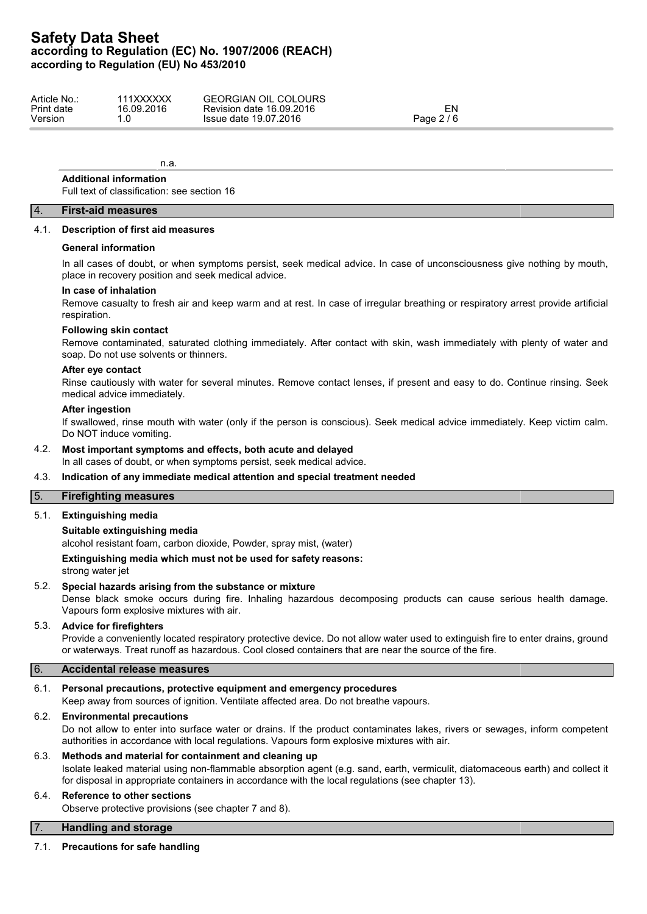| Article No | 111XXXXXX  | <b>COLOURS</b><br><b>GEORGIAN</b><br>OIL |                                     |  |
|------------|------------|------------------------------------------|-------------------------------------|--|
| Print date | 16.09.2016 | Revision date 16.09.2016                 | ∼וי                                 |  |
| Version    | . ب        | Issue date 19.07.2016                    | $\sim$ $\sim$<br>Page 2<br><u>_</u> |  |
|            |            |                                          |                                     |  |

n.a.

# **Additional information**

Full text of classification: see section 16

# 4. **First-aid measures**

#### 4.1. **Description of first aid measures**

#### **General information**

In all cases of doubt, or when symptoms persist, seek medical advice. In case of unconsciousness give nothing by mouth, place in recovery position and seek medical advice.

### **In case of inhalation**

Remove casualty to fresh air and keep warm and at rest. In case of irregular breathing or respiratory arrest provide artificial respiration.

# **Following skin contact**

Remove contaminated, saturated clothing immediately. After contact with skin, wash immediately with plenty of water and soap. Do not use solvents or thinners.

#### **After eye contact**

Rinse cautiously with water for several minutes. Remove contact lenses, if present and easy to do. Continue rinsing. Seek medical advice immediately.

#### **After ingestion**

If swallowed, rinse mouth with water (only if the person is conscious). Seek medical advice immediately. Keep victim calm. Do NOT induce vomiting.

## 4.2. **Most important symptoms and effects, both acute and delayed**

In all cases of doubt, or when symptoms persist, seek medical advice.

## 4.3. **Indication of any immediate medical attention and special treatment needed**

# 5. **Firefighting measures**

# 5.1. **Extinguishing media**

# **Suitable extinguishing media**

alcohol resistant foam, carbon dioxide, Powder, spray mist, (water)

**Extinguishing media which must not be used for safety reasons:**

strong water jet

# 5.2. **Special hazards arising from the substance or mixture**

Dense black smoke occurs during fire. Inhaling hazardous decomposing products can cause serious health damage. Vapours form explosive mixtures with air.

# 5.3. **Advice for firefighters**

Provide a conveniently located respiratory protective device. Do not allow water used to extinguish fire to enter drains, ground or waterways. Treat runoff as hazardous. Cool closed containers that are near the source of the fire.

# 6. **Accidental release measures**

## 6.1. **Personal precautions, protective equipment and emergency procedures**

Keep away from sources of ignition. Ventilate affected area. Do not breathe vapours.

## 6.2. **Environmental precautions**

Do not allow to enter into surface water or drains. If the product contaminates lakes, rivers or sewages, inform competent authorities in accordance with local regulations. Vapours form explosive mixtures with air.

# 6.3. **Methods and material for containment and cleaning up**

Isolate leaked material using non-flammable absorption agent (e.g. sand, earth, vermiculit, diatomaceous earth) and collect it for disposal in appropriate containers in accordance with the local regulations (see chapter 13).

# 6.4. **Reference to other sections**

Observe protective provisions (see chapter 7 and 8).

# 7. **Handling and storage**

## 7.1. **Precautions for safe handling**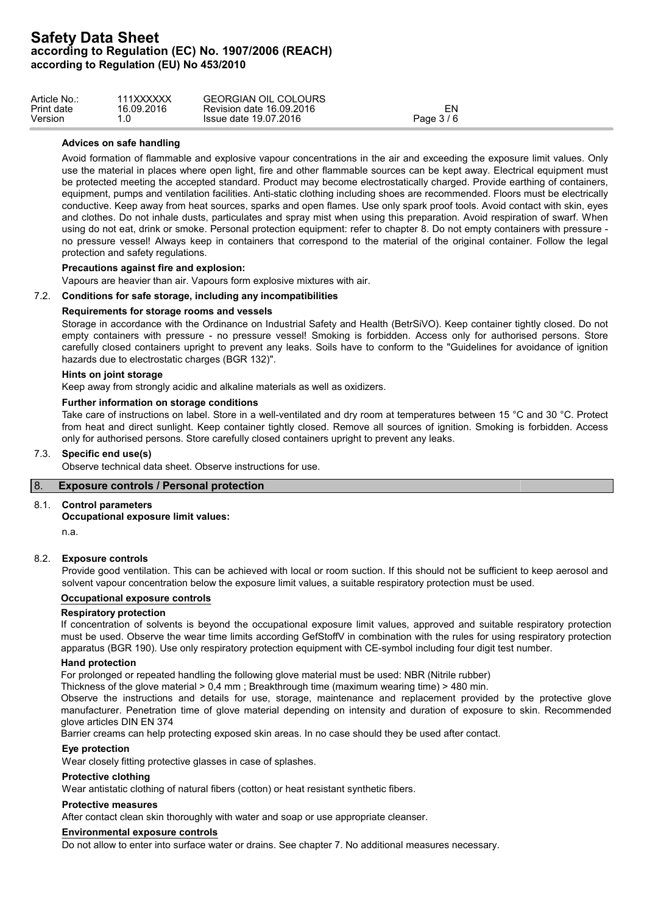| Article No.: | 111XXXXXX  | <b>GEORGIAN OIL COLOURS</b> |            |  |
|--------------|------------|-----------------------------|------------|--|
| Print date   | 16.09.2016 | Revision date 16.09.2016    | ΞN         |  |
| Version      | ں.         | Issue date 19.07.2016       | Page 3 / 6 |  |

### **Advices on safe handling**

Avoid formation of flammable and explosive vapour concentrations in the air and exceeding the exposure limit values. Only use the material in places where open light, fire and other flammable sources can be kept away. Electrical equipment must be protected meeting the accepted standard. Product may become electrostatically charged. Provide earthing of containers, equipment, pumps and ventilation facilities. Anti-static clothing including shoes are recommended. Floors must be electrically conductive. Keep away from heat sources, sparks and open flames. Use only spark proof tools. Avoid contact with skin, eyes and clothes. Do not inhale dusts, particulates and spray mist when using this preparation. Avoid respiration of swarf. When using do not eat, drink or smoke. Personal protection equipment: refer to chapter 8. Do not empty containers with pressure no pressure vessel! Always keep in containers that correspond to the material of the original container. Follow the legal protection and safety regulations.

## **Precautions against fire and explosion:**

Vapours are heavier than air. Vapours form explosive mixtures with air.

# 7.2. **Conditions for safe storage, including any incompatibilities**

### **Requirements for storage rooms and vessels**

Storage in accordance with the Ordinance on Industrial Safety and Health (BetrSiVO). Keep container tightly closed. Do not empty containers with pressure - no pressure vessel! Smoking is forbidden. Access only for authorised persons. Store carefully closed containers upright to prevent any leaks. Soils have to conform to the "Guidelines for avoidance of ignition hazards due to electrostatic charges (BGR 132)".

#### **Hints on joint storage**

Keep away from strongly acidic and alkaline materials as well as oxidizers.

#### **Further information on storage conditions**

Take care of instructions on label. Store in a well-ventilated and dry room at temperatures between 15 °C and 30 °C. Protect from heat and direct sunlight. Keep container tightly closed. Remove all sources of ignition. Smoking is forbidden. Access only for authorised persons. Store carefully closed containers upright to prevent any leaks.

# 7.3. **Specific end use(s)**

Observe technical data sheet. Observe instructions for use.

# 8. **Exposure controls / Personal protection**

#### 8.1. **Control parameters**

#### **Occupational exposure limit values:**

n.a.

# 8.2. **Exposure controls**

Provide good ventilation. This can be achieved with local or room suction. If this should not be sufficient to keep aerosol and solvent vapour concentration below the exposure limit values, a suitable respiratory protection must be used.

# **Occupational exposure controls**

### **Respiratory protection**

If concentration of solvents is beyond the occupational exposure limit values, approved and suitable respiratory protection must be used. Observe the wear time limits according GefStoffV in combination with the rules for using respiratory protection apparatus (BGR 190). Use only respiratory protection equipment with CE-symbol including four digit test number.

#### **Hand protection**

For prolonged or repeated handling the following glove material must be used: NBR (Nitrile rubber)

Thickness of the glove material > 0,4 mm ; Breakthrough time (maximum wearing time) > 480 min.

Observe the instructions and details for use, storage, maintenance and replacement provided by the protective glove manufacturer. Penetration time of glove material depending on intensity and duration of exposure to skin. Recommended glove articles DIN EN 374

Barrier creams can help protecting exposed skin areas. In no case should they be used after contact.

#### **Eye protection**

Wear closely fitting protective glasses in case of splashes.

#### **Protective clothing**

Wear antistatic clothing of natural fibers (cotton) or heat resistant synthetic fibers.

#### **Protective measures**

After contact clean skin thoroughly with water and soap or use appropriate cleanser.

#### **Environmental exposure controls**

Do not allow to enter into surface water or drains. See chapter 7. No additional measures necessary.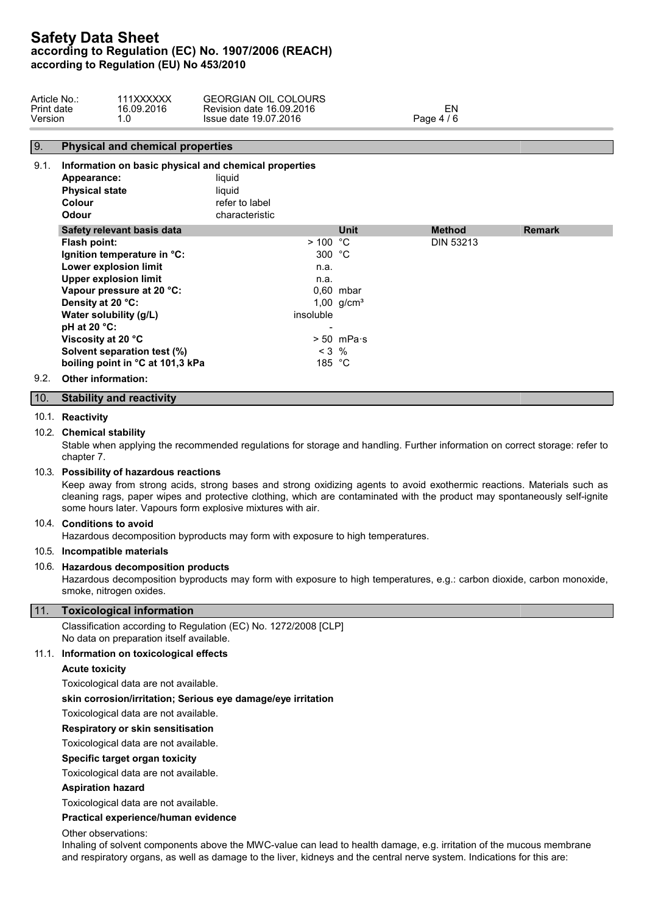| Article No | 111XXXXXX  | COLOURS<br><b>GEORGIAN OIL</b> |                                             |  |
|------------|------------|--------------------------------|---------------------------------------------|--|
| Print date | 16.09.2016 | Revision date 16.09.2016       | — IV.                                       |  |
| Version    | . . U      | Issue date 19.07.2016          | $\sqrt{ }$<br>Paqe 4<br>$\mathbf{u}$<br>. . |  |

# 9. **Physical and chemical properties**

| 9.1. | Information on basic physical and chemical properties<br>Appearance:<br><b>Physical state</b><br><b>Colour</b><br><b>Odour</b> | liquid<br>liquid<br>refer to label<br>characteristic |                      |                  |               |
|------|--------------------------------------------------------------------------------------------------------------------------------|------------------------------------------------------|----------------------|------------------|---------------|
|      | Safety relevant basis data                                                                                                     |                                                      | <b>Unit</b>          | <b>Method</b>    | <b>Remark</b> |
|      | Flash point:                                                                                                                   | > 100 °C                                             |                      | <b>DIN 53213</b> |               |
|      | Ignition temperature in °C:                                                                                                    | 300 $°C$                                             |                      |                  |               |
|      | Lower explosion limit                                                                                                          | n.a.                                                 |                      |                  |               |
|      | <b>Upper explosion limit</b>                                                                                                   | n.a.                                                 |                      |                  |               |
|      | Vapour pressure at 20 °C:                                                                                                      |                                                      | $0.60$ mbar          |                  |               |
|      | Density at 20 °C:                                                                                                              |                                                      | 1,00 $q/cm^{3}$      |                  |               |
|      | Water solubility (g/L)                                                                                                         | insoluble                                            |                      |                  |               |
|      | pH at 20 $°C$ :                                                                                                                | -                                                    |                      |                  |               |
|      | Viscosity at 20 °C                                                                                                             |                                                      | $> 50$ mPa $\cdot$ s |                  |               |
|      | Solvent separation test (%)                                                                                                    | $< 3$ %                                              |                      |                  |               |
|      | boiling point in °C at 101,3 kPa                                                                                               | 185 $°C$                                             |                      |                  |               |
| 9.2. | <b>Other information:</b>                                                                                                      |                                                      |                      |                  |               |

# 10. **Stability and reactivity**

#### 10.1. **Reactivity**

## 10.2. **Chemical stability**

Stable when applying the recommended regulations for storage and handling. Further information on correct storage: refer to chapter 7.

#### 10.3. **Possibility of hazardous reactions**

Keep away from strong acids, strong bases and strong oxidizing agents to avoid exothermic reactions. Materials such as cleaning rags, paper wipes and protective clothing, which are contaminated with the product may spontaneously self-ignite some hours later. Vapours form explosive mixtures with air.

#### 10.4. **Conditions to avoid**

Hazardous decomposition byproducts may form with exposure to high temperatures.

# 10.5. **Incompatible materials**

#### 10.6. **Hazardous decomposition products**

Hazardous decomposition byproducts may form with exposure to high temperatures, e.g.: carbon dioxide, carbon monoxide, smoke, nitrogen oxides.

# 11. **Toxicological information**

Classification according to Regulation (EC) No. 1272/2008 [CLP] No data on preparation itself available.

#### 11.1. **Information on toxicological effects**

### **Acute toxicity**

Toxicological data are not available.

### **skin corrosion/irritation; Serious eye damage/eye irritation**

Toxicological data are not available.

#### **Respiratory or skin sensitisation**

Toxicological data are not available.

#### **Specific target organ toxicity**

Toxicological data are not available.

#### **Aspiration hazard**

Toxicological data are not available.

#### **Practical experience/human evidence**

Other observations:

Inhaling of solvent components above the MWC-value can lead to health damage, e.g. irritation of the mucous membrane and respiratory organs, as well as damage to the liver, kidneys and the central nerve system. Indications for this are: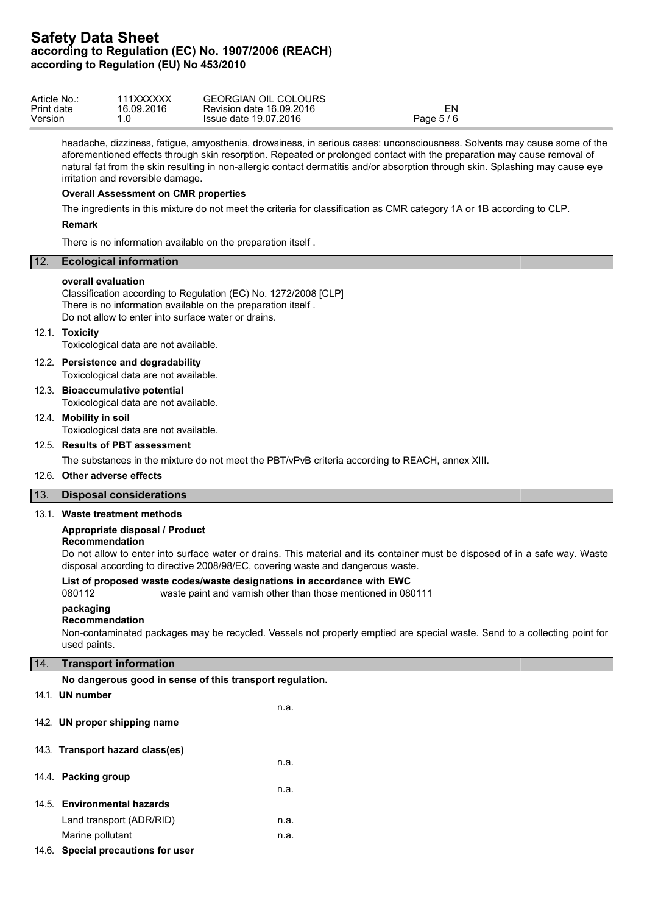| Article No | 111XXXXXX  | <b>GEORGIAN OIL COLOURS</b> |          |  |
|------------|------------|-----------------------------|----------|--|
| Print date | 16.09.2016 | Revision date 16.09.2016    | ا اے۔    |  |
| Version    |            | Issue date 19.07.2016       | Page 5/6 |  |

headache, dizziness, fatigue, amyosthenia, drowsiness, in serious cases: unconsciousness. Solvents may cause some of the aforementioned effects through skin resorption. Repeated or prolonged contact with the preparation may cause removal of natural fat from the skin resulting in non-allergic contact dermatitis and/or absorption through skin. Splashing may cause eye irritation and reversible damage.

### **Overall Assessment on CMR properties**

The ingredients in this mixture do not meet the criteria for classification as CMR category 1A or 1B according to CLP.

#### **Remark**

There is no information available on the preparation itself .

# 12. **Ecological information**

#### **overall evaluation**

Classification according to Regulation (EC) No. 1272/2008 [CLP] There is no information available on the preparation itself . Do not allow to enter into surface water or drains.

#### 12.1. **Toxicity**

Toxicological data are not available.

12.2. **Persistence and degradability**

Toxicological data are not available.

12.3. **Bioaccumulative potential** Toxicological data are not available.

12.4. **Mobility in soil**

Toxicological data are not available.

# 12.5. **Results of PBT assessment**

The substances in the mixture do not meet the PBT/vPvB criteria according to REACH, annex XIII.

n.a.

# 12.6. **Other adverse effects**

## 13. **Disposal considerations**

## 13.1. **Waste treatment methods**

## **Appropriate disposal / Product**

## **Recommendation**

Do not allow to enter into surface water or drains. This material and its container must be disposed of in a safe way. Waste disposal according to directive 2008/98/EC, covering waste and dangerous waste.

#### **List of proposed waste codes/waste designations in accordance with EWC**

080112 waste paint and varnish other than those mentioned in 080111

#### **packaging**

# **Recommendation**

Non-contaminated packages may be recycled. Vessels not properly emptied are special waste. Send to a collecting point for used paints.

## 14. **Transport information**

**No dangerous good in sense of this transport regulation.**

# 14.1. **UN number**

14.2. **UN proper shipping name**

# 14.3. **Transport hazard class(es)**

- n.a. 14.4. **Packing group** n.a. 14.5. **Environmental hazards** Land transport (ADR/RID) n.a. Marine pollutant n.a.
- 14.6. **Special precautions for user**